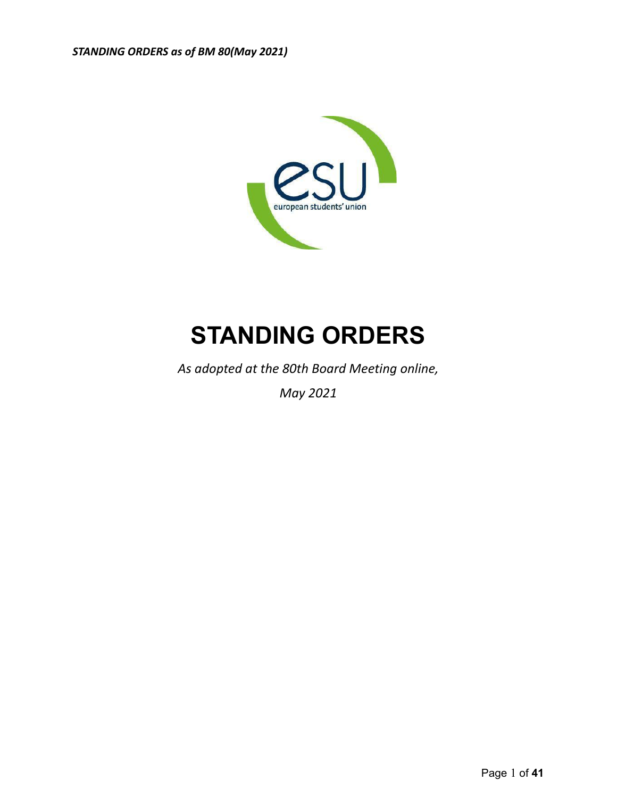

# **STANDING ORDERS**

*As adopted at the 80th Board Meeting online,*

*May 2021*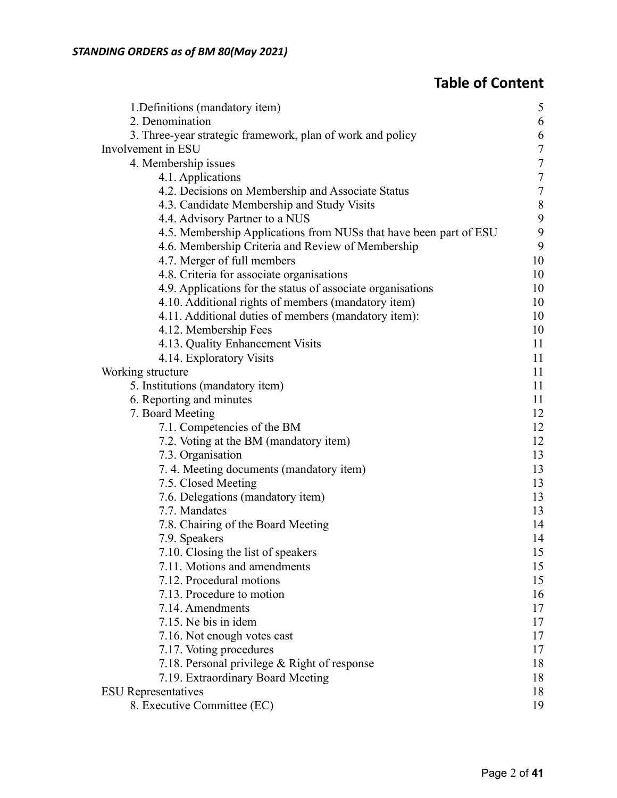# **Table of Content**

| 1. Definitions (mandatory item)                                   | 5                |
|-------------------------------------------------------------------|------------------|
| 2. Denomination                                                   | 6                |
| 3. Three-year strategic framework, plan of work and policy        | 6                |
| Involvement in ESU                                                | $\overline{7}$   |
| 4. Membership issues                                              | $\overline{7}$   |
| 4.1. Applications                                                 | $\overline{7}$   |
| 4.2. Decisions on Membership and Associate Status                 | $\boldsymbol{7}$ |
| 4.3. Candidate Membership and Study Visits                        | $\,$ $\,$        |
| 4.4. Advisory Partner to a NUS                                    | 9                |
| 4.5. Membership Applications from NUSs that have been part of ESU | 9                |
| 4.6. Membership Criteria and Review of Membership                 | 9                |
| 4.7. Merger of full members                                       | 10               |
| 4.8. Criteria for associate organisations                         | 10               |
| 4.9. Applications for the status of associate organisations       | 10               |
| 4.10. Additional rights of members (mandatory item)               | 10               |
| 4.11. Additional duties of members (mandatory item):              | 10               |
| 4.12. Membership Fees                                             | 10               |
| 4.13. Quality Enhancement Visits                                  | 11               |
| 4.14. Exploratory Visits                                          | 11               |
| Working structure                                                 | 11               |
| 5. Institutions (mandatory item)                                  | 11               |
| 6. Reporting and minutes                                          | 11               |
| 7. Board Meeting                                                  | 12               |
| 7.1. Competencies of the BM                                       | 12               |
| 7.2. Voting at the BM (mandatory item)                            | 12               |
| 7.3. Organisation                                                 | 13               |
| 7.4. Meeting documents (mandatory item)                           | 13               |
| 7.5. Closed Meeting                                               | 13               |
| 7.6. Delegations (mandatory item)                                 | 13               |
| 7.7. Mandates                                                     | 13               |
| 7.8. Chairing of the Board Meeting                                | 14               |
| 7.9. Speakers                                                     | 14               |
| 7.10. Closing the list of speakers                                | 15               |
| 7.11. Motions and amendments                                      | 15               |
| 7.12. Procedural motions                                          | 15               |
| 7.13. Procedure to motion                                         | 16               |
| 7.14. Amendments                                                  | 17               |
| 7.15. Ne bis in idem                                              | 17               |
| 7.16. Not enough votes cast                                       | 17               |
| 7.17. Voting procedures                                           | 17               |
| 7.18. Personal privilege & Right of response                      | 18               |
| 7.19. Extraordinary Board Meeting                                 | 18               |
| <b>ESU</b> Representatives                                        | 18               |
| 8. Executive Committee (EC)                                       | 19               |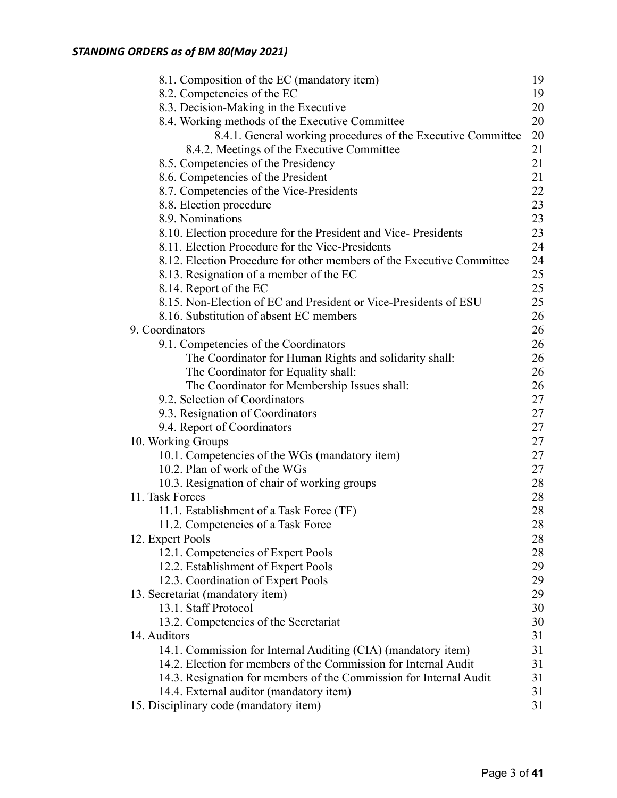# *STANDING ORDERS as of BM 80(May 2021)*

| 8.1. Composition of the EC (mandatory item)                           | 19 |
|-----------------------------------------------------------------------|----|
| 8.2. Competencies of the EC                                           | 19 |
| 8.3. Decision-Making in the Executive                                 | 20 |
| 8.4. Working methods of the Executive Committee                       | 20 |
| 8.4.1. General working procedures of the Executive Committee          | 20 |
| 8.4.2. Meetings of the Executive Committee                            | 21 |
| 8.5. Competencies of the Presidency                                   | 21 |
| 8.6. Competencies of the President                                    | 21 |
| 8.7. Competencies of the Vice-Presidents                              | 22 |
| 8.8. Election procedure                                               | 23 |
| 8.9. Nominations                                                      | 23 |
| 8.10. Election procedure for the President and Vice-Presidents        | 23 |
| 8.11. Election Procedure for the Vice-Presidents                      | 24 |
| 8.12. Election Procedure for other members of the Executive Committee | 24 |
| 8.13. Resignation of a member of the EC                               | 25 |
| 8.14. Report of the EC                                                | 25 |
| 8.15. Non-Election of EC and President or Vice-Presidents of ESU      | 25 |
| 8.16. Substitution of absent EC members                               | 26 |
| 9. Coordinators                                                       | 26 |
| 9.1. Competencies of the Coordinators                                 | 26 |
| The Coordinator for Human Rights and solidarity shall:                | 26 |
| The Coordinator for Equality shall:                                   | 26 |
| The Coordinator for Membership Issues shall:                          | 26 |
| 9.2. Selection of Coordinators                                        | 27 |
| 9.3. Resignation of Coordinators                                      | 27 |
| 9.4. Report of Coordinators                                           | 27 |
| 10. Working Groups                                                    | 27 |
| 10.1. Competencies of the WGs (mandatory item)                        | 27 |
| 10.2. Plan of work of the WGs                                         | 27 |
| 10.3. Resignation of chair of working groups                          | 28 |
| 11. Task Forces                                                       | 28 |
| 11.1. Establishment of a Task Force (TF)                              | 28 |
| 11.2. Competencies of a Task Force                                    | 28 |
| 12. Expert Pools                                                      | 28 |
| 12.1. Competencies of Expert Pools                                    | 28 |
| 12.2. Establishment of Expert Pools                                   | 29 |
| 12.3. Coordination of Expert Pools                                    | 29 |
| 13. Secretariat (mandatory item)                                      | 29 |
| 13.1. Staff Protocol                                                  | 30 |
| 13.2. Competencies of the Secretariat                                 | 30 |
| 14. Auditors                                                          | 31 |
| 14.1. Commission for Internal Auditing (CIA) (mandatory item)         | 31 |
| 14.2. Election for members of the Commission for Internal Audit       | 31 |
| 14.3. Resignation for members of the Commission for Internal Audit    | 31 |
| 14.4. External auditor (mandatory item)                               | 31 |
| 15. Disciplinary code (mandatory item)                                | 31 |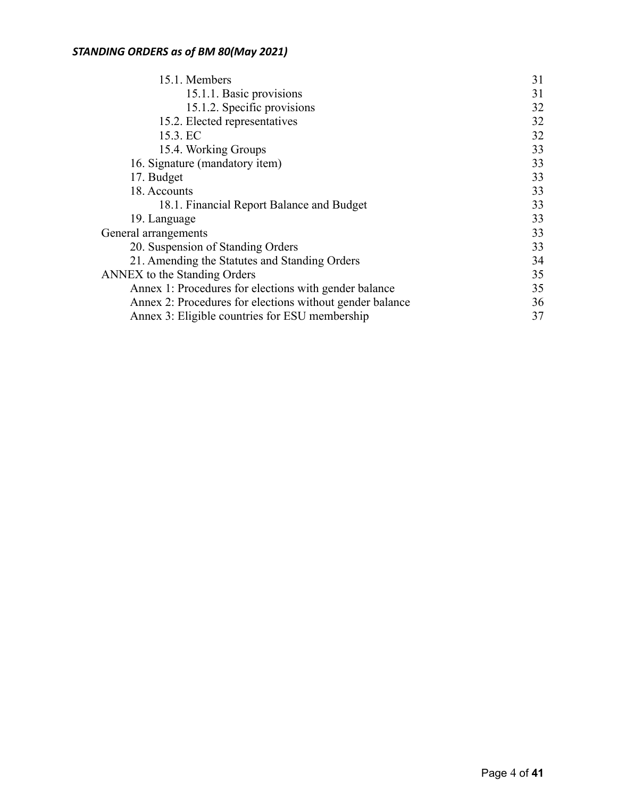| 15.1. Members                                            | 31 |
|----------------------------------------------------------|----|
| 15.1.1. Basic provisions                                 | 31 |
| 15.1.2. Specific provisions                              | 32 |
| 15.2. Elected representatives                            | 32 |
| 15.3. EC                                                 | 32 |
| 15.4. Working Groups                                     | 33 |
| 16. Signature (mandatory item)                           | 33 |
| 17. Budget                                               | 33 |
| 18. Accounts                                             | 33 |
| 18.1. Financial Report Balance and Budget                | 33 |
| 19. Language                                             | 33 |
| General arrangements                                     | 33 |
| 20. Suspension of Standing Orders                        | 33 |
| 21. Amending the Statutes and Standing Orders            | 34 |
| <b>ANNEX</b> to the Standing Orders                      | 35 |
| Annex 1: Procedures for elections with gender balance    | 35 |
| Annex 2: Procedures for elections without gender balance | 36 |
| Annex 3: Eligible countries for ESU membership           | 37 |
|                                                          |    |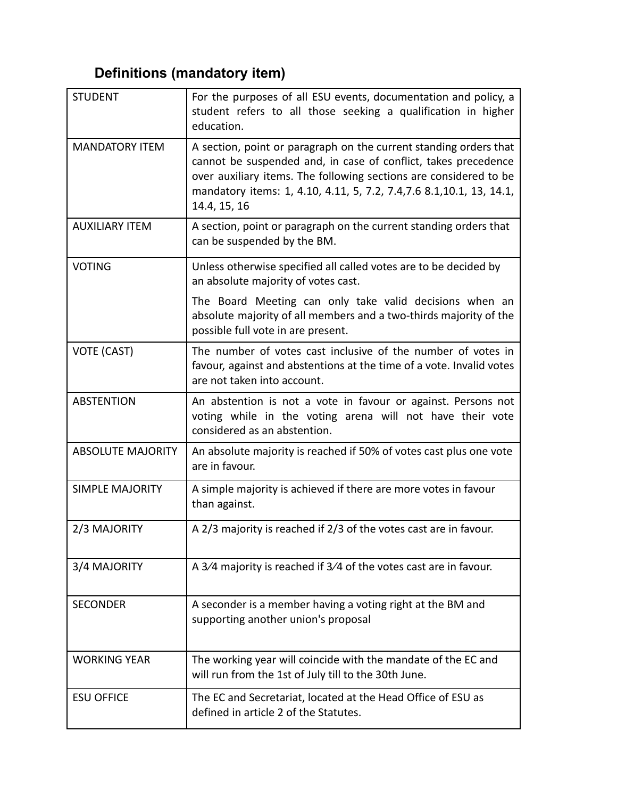# <span id="page-4-0"></span>**Definitions (mandatory item)**

| <b>STUDENT</b>           | For the purposes of all ESU events, documentation and policy, a<br>student refers to all those seeking a qualification in higher<br>education.                                                                                                                                                    |
|--------------------------|---------------------------------------------------------------------------------------------------------------------------------------------------------------------------------------------------------------------------------------------------------------------------------------------------|
| <b>MANDATORY ITEM</b>    | A section, point or paragraph on the current standing orders that<br>cannot be suspended and, in case of conflict, takes precedence<br>over auxiliary items. The following sections are considered to be<br>mandatory items: 1, 4.10, 4.11, 5, 7.2, 7.4, 7.6 8.1, 10.1, 13, 14.1,<br>14.4, 15, 16 |
| <b>AUXILIARY ITEM</b>    | A section, point or paragraph on the current standing orders that<br>can be suspended by the BM.                                                                                                                                                                                                  |
| <b>VOTING</b>            | Unless otherwise specified all called votes are to be decided by<br>an absolute majority of votes cast.                                                                                                                                                                                           |
|                          | The Board Meeting can only take valid decisions when an<br>absolute majority of all members and a two-thirds majority of the<br>possible full vote in are present.                                                                                                                                |
| VOTE (CAST)              | The number of votes cast inclusive of the number of votes in<br>favour, against and abstentions at the time of a vote. Invalid votes<br>are not taken into account.                                                                                                                               |
| <b>ABSTENTION</b>        | An abstention is not a vote in favour or against. Persons not<br>voting while in the voting arena will not have their vote<br>considered as an abstention.                                                                                                                                        |
| <b>ABSOLUTE MAJORITY</b> | An absolute majority is reached if 50% of votes cast plus one vote<br>are in favour.                                                                                                                                                                                                              |
| <b>SIMPLE MAJORITY</b>   | A simple majority is achieved if there are more votes in favour<br>than against.                                                                                                                                                                                                                  |
| 2/3 MAJORITY             | A 2/3 majority is reached if 2/3 of the votes cast are in favour.                                                                                                                                                                                                                                 |
| 3/4 MAJORITY             | A 3/4 majority is reached if 3/4 of the votes cast are in favour.                                                                                                                                                                                                                                 |
| <b>SECONDER</b>          | A seconder is a member having a voting right at the BM and<br>supporting another union's proposal                                                                                                                                                                                                 |
| <b>WORKING YEAR</b>      | The working year will coincide with the mandate of the EC and<br>will run from the 1st of July till to the 30th June.                                                                                                                                                                             |
| <b>ESU OFFICE</b>        | The EC and Secretariat, located at the Head Office of ESU as<br>defined in article 2 of the Statutes.                                                                                                                                                                                             |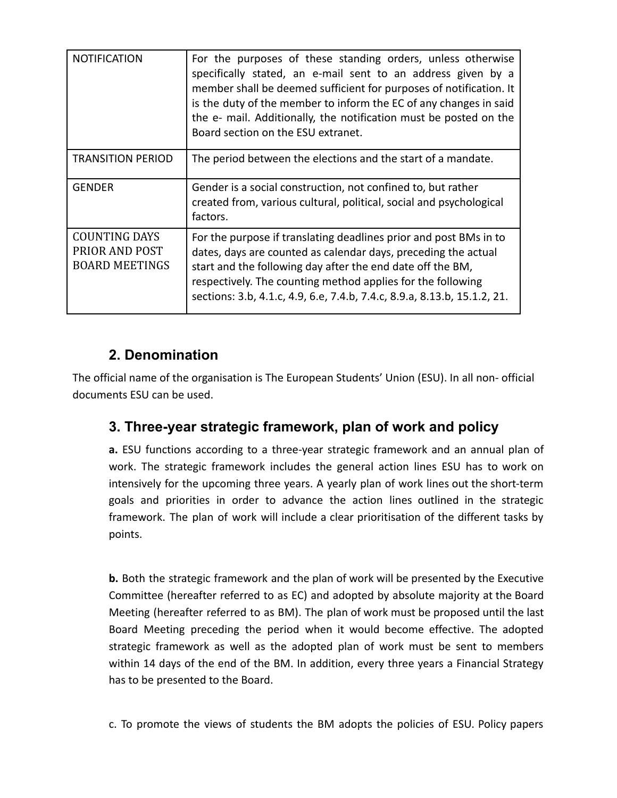| <b>NOTIFICATION</b>                                             | For the purposes of these standing orders, unless otherwise<br>specifically stated, an e-mail sent to an address given by a<br>member shall be deemed sufficient for purposes of notification. It<br>is the duty of the member to inform the EC of any changes in said<br>the e- mail. Additionally, the notification must be posted on the<br>Board section on the ESU extranet. |
|-----------------------------------------------------------------|-----------------------------------------------------------------------------------------------------------------------------------------------------------------------------------------------------------------------------------------------------------------------------------------------------------------------------------------------------------------------------------|
| <b>TRANSITION PERIOD</b>                                        | The period between the elections and the start of a mandate.                                                                                                                                                                                                                                                                                                                      |
| <b>GENDER</b>                                                   | Gender is a social construction, not confined to, but rather<br>created from, various cultural, political, social and psychological<br>factors.                                                                                                                                                                                                                                   |
| <b>COUNTING DAYS</b><br>PRIOR AND POST<br><b>BOARD MEETINGS</b> | For the purpose if translating deadlines prior and post BMs in to<br>dates, days are counted as calendar days, preceding the actual<br>start and the following day after the end date off the BM,<br>respectively. The counting method applies for the following<br>sections: 3.b, 4.1.c, 4.9, 6.e, 7.4.b, 7.4.c, 8.9.a, 8.13.b, 15.1.2, 21.                                      |

# **2. Denomination**

The official name of the organisation is The European Students' Union (ESU). In all non- official documents ESU can be used.

# **3. Three-year strategic framework, plan of work and policy**

**a.** ESU functions according to a three-year strategic framework and an annual plan of work. The strategic framework includes the general action lines ESU has to work on intensively for the upcoming three years. A yearly plan of work lines out the short-term goals and priorities in order to advance the action lines outlined in the strategic framework. The plan of work will include a clear prioritisation of the different tasks by points.

**b.** Both the strategic framework and the plan of work will be presented by the Executive Committee (hereafter referred to as EC) and adopted by absolute majority at the Board Meeting (hereafter referred to as BM). The plan of work must be proposed until the last Board Meeting preceding the period when it would become effective. The adopted strategic framework as well as the adopted plan of work must be sent to members within 14 days of the end of the BM. In addition, every three years a Financial Strategy has to be presented to the Board.

c. To promote the views of students the BM adopts the policies of ESU. Policy papers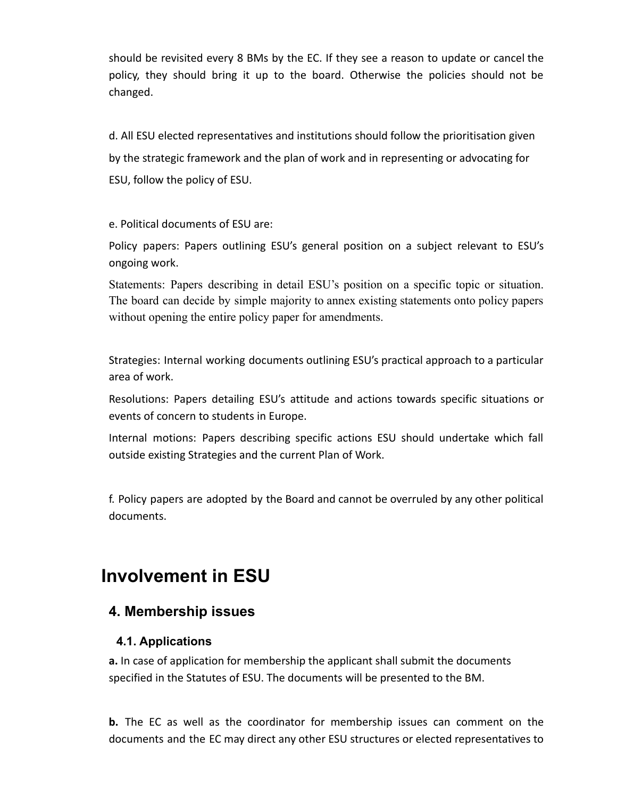should be revisited every 8 BMs by the EC. If they see a reason to update or cancel the policy, they should bring it up to the board. Otherwise the policies should not be changed.

d. All ESU elected representatives and institutions should follow the prioritisation given by the strategic framework and the plan of work and in representing or advocating for ESU, follow the policy of ESU.

e. Political documents of ESU are:

Policy papers: Papers outlining ESU's general position on a subject relevant to ESU's ongoing work.

Statements: Papers describing in detail ESU's position on a specific topic or situation. The board can decide by simple majority to annex existing statements onto policy papers without opening the entire policy paper for amendments.

Strategies: Internal working documents outlining ESU's practical approach to a particular area of work.

Resolutions: Papers detailing ESU's attitude and actions towards specific situations or events of concern to students in Europe.

Internal motions: Papers describing specific actions ESU should undertake which fall outside existing Strategies and the current Plan of Work.

f. Policy papers are adopted by the Board and cannot be overruled by any other political documents.

# **Involvement in ESU**

#### <span id="page-6-0"></span>**4. Membership issues**

#### **4.1. Applications**

**a.** In case of application for membership the applicant shall submit the documents specified in the Statutes of ESU. The documents will be presented to the BM.

**b.** The EC as well as the coordinator for membership issues can comment on the documents and the EC may direct any other ESU structures or elected representatives to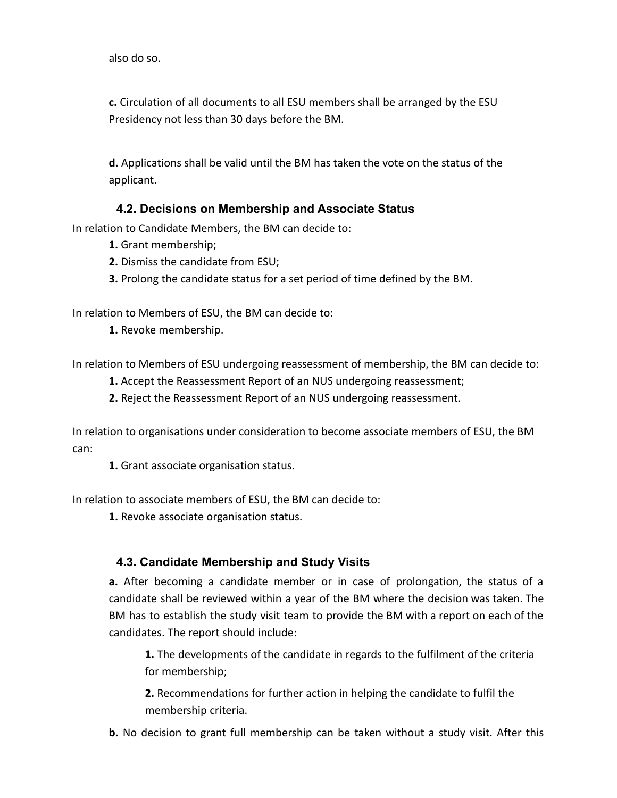also do so.

**c.** Circulation of all documents to all ESU members shall be arranged by the ESU Presidency not less than 30 days before the BM.

<span id="page-7-0"></span>**d.** Applications shall be valid until the BM has taken the vote on the status of the applicant.

#### **4.2. Decisions on Membership and Associate Status**

In relation to Candidate Members, the BM can decide to:

- **1.** Grant membership;
- **2.** Dismiss the candidate from ESU;
- **3.** Prolong the candidate status for a set period of time defined by the BM.

In relation to Members of ESU, the BM can decide to:

**1.** Revoke membership.

In relation to Members of ESU undergoing reassessment of membership, the BM can decide to:

- **1.** Accept the Reassessment Report of an NUS undergoing reassessment;
- **2.** Reject the Reassessment Report of an NUS undergoing reassessment.

In relation to organisations under consideration to become associate members of ESU, the BM can:

**1.** Grant associate organisation status.

<span id="page-7-1"></span>In relation to associate members of ESU, the BM can decide to:

**1.** Revoke associate organisation status.

#### **4.3. Candidate Membership and Study Visits**

**a.** After becoming a candidate member or in case of prolongation, the status of a candidate shall be reviewed within a year of the BM where the decision was taken. The BM has to establish the study visit team to provide the BM with a report on each of the candidates. The report should include:

**1.** The developments of the candidate in regards to the fulfilment of the criteria for membership;

**2.** Recommendations for further action in helping the candidate to fulfil the membership criteria.

**b.** No decision to grant full membership can be taken without a study visit. After this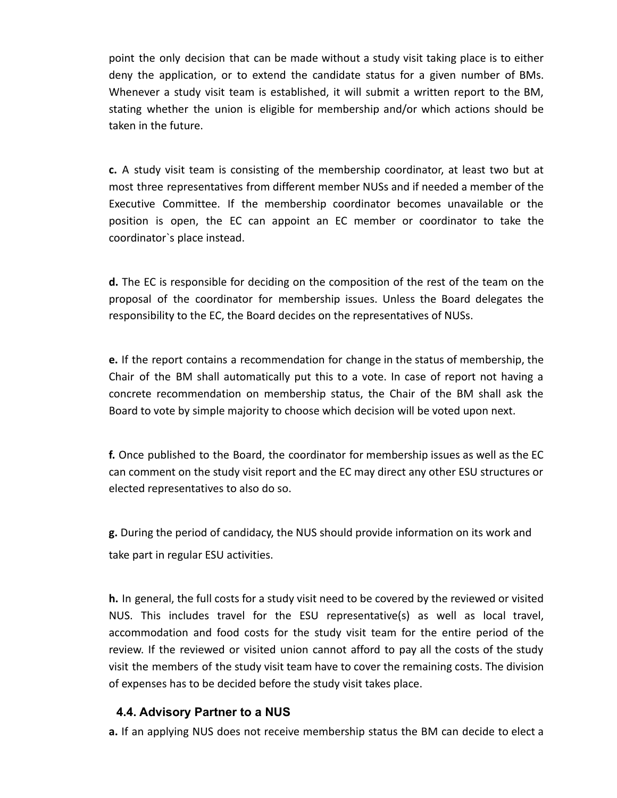point the only decision that can be made without a study visit taking place is to either deny the application, or to extend the candidate status for a given number of BMs. Whenever a study visit team is established, it will submit a written report to the BM, stating whether the union is eligible for membership and/or which actions should be taken in the future.

**c.** A study visit team is consisting of the membership coordinator, at least two but at most three representatives from different member NUSs and if needed a member of the Executive Committee. If the membership coordinator becomes unavailable or the position is open, the EC can appoint an EC member or coordinator to take the coordinator`s place instead.

**d.** The EC is responsible for deciding on the composition of the rest of the team on the proposal of the coordinator for membership issues. Unless the Board delegates the responsibility to the EC, the Board decides on the representatives of NUSs.

**e.** If the report contains a recommendation for change in the status of membership, the Chair of the BM shall automatically put this to a vote. In case of report not having a concrete recommendation on membership status, the Chair of the BM shall ask the Board to vote by simple majority to choose which decision will be voted upon next.

**f.** Once published to the Board, the coordinator for membership issues as well as the EC can comment on the study visit report and the EC may direct any other ESU structures or elected representatives to also do so.

**g.** During the period of candidacy, the NUS should provide information on its work and take part in regular ESU activities.

**h.** In general, the full costs for a study visit need to be covered by the reviewed or visited NUS. This includes travel for the ESU representative(s) as well as local travel, accommodation and food costs for the study visit team for the entire period of the review. If the reviewed or visited union cannot afford to pay all the costs of the study visit the members of the study visit team have to cover the remaining costs. The division of expenses has to be decided before the study visit takes place.

#### <span id="page-8-0"></span>**4.4. Advisory Partner to a NUS**

**a.** If an applying NUS does not receive membership status the BM can decide to elect a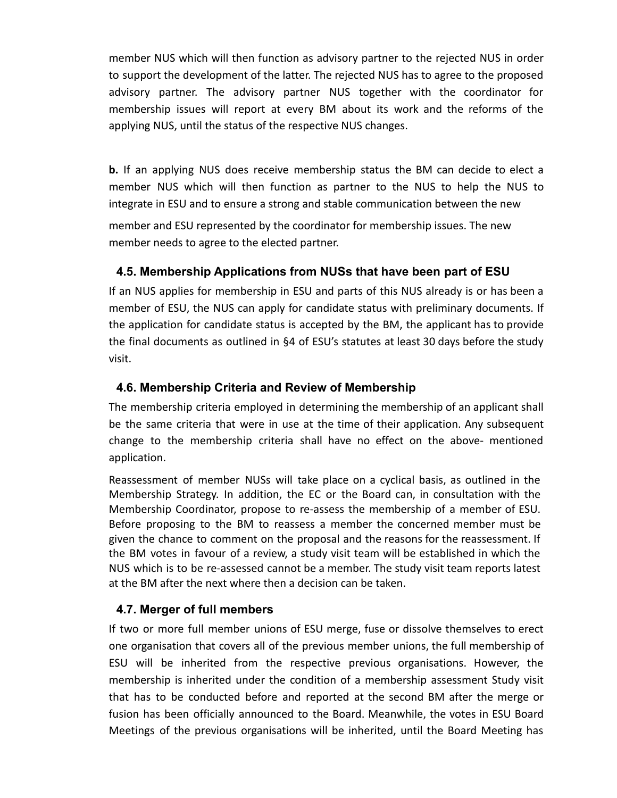member NUS which will then function as advisory partner to the rejected NUS in order to support the development of the latter. The rejected NUS has to agree to the proposed advisory partner. The advisory partner NUS together with the coordinator for membership issues will report at every BM about its work and the reforms of the applying NUS, until the status of the respective NUS changes.

**b.** If an applying NUS does receive membership status the BM can decide to elect a member NUS which will then function as partner to the NUS to help the NUS to integrate in ESU and to ensure a strong and stable communication between the new

<span id="page-9-0"></span>member and ESU represented by the coordinator for membership issues. The new member needs to agree to the elected partner.

#### **4.5. Membership Applications from NUSs that have been part of ESU**

If an NUS applies for membership in ESU and parts of this NUS already is or has been a member of ESU, the NUS can apply for candidate status with preliminary documents. If the application for candidate status is accepted by the BM, the applicant has to provide the final documents as outlined in §4 of ESU's statutes at least 30 days before the study visit.

#### <span id="page-9-1"></span>**4.6. Membership Criteria and Review of Membership**

The membership criteria employed in determining the membership of an applicant shall be the same criteria that were in use at the time of their application. Any subsequent change to the membership criteria shall have no effect on the above- mentioned application.

Reassessment of member NUSs will take place on a cyclical basis, as outlined in the Membership Strategy. In addition, the EC or the Board can, in consultation with the Membership Coordinator, propose to re-assess the membership of a member of ESU. Before proposing to the BM to reassess a member the concerned member must be given the chance to comment on the proposal and the reasons for the reassessment. If the BM votes in favour of a review, a study visit team will be established in which the NUS which is to be re-assessed cannot be a member. The study visit team reports latest at the BM after the next where then a decision can be taken.

#### <span id="page-9-2"></span>**4.7. Merger of full members**

If two or more full member unions of ESU merge, fuse or dissolve themselves to erect one organisation that covers all of the previous member unions, the full membership of ESU will be inherited from the respective previous organisations. However, the membership is inherited under the condition of a membership assessment Study visit that has to be conducted before and reported at the second BM after the merge or fusion has been officially announced to the Board. Meanwhile, the votes in ESU Board Meetings of the previous organisations will be inherited, until the Board Meeting has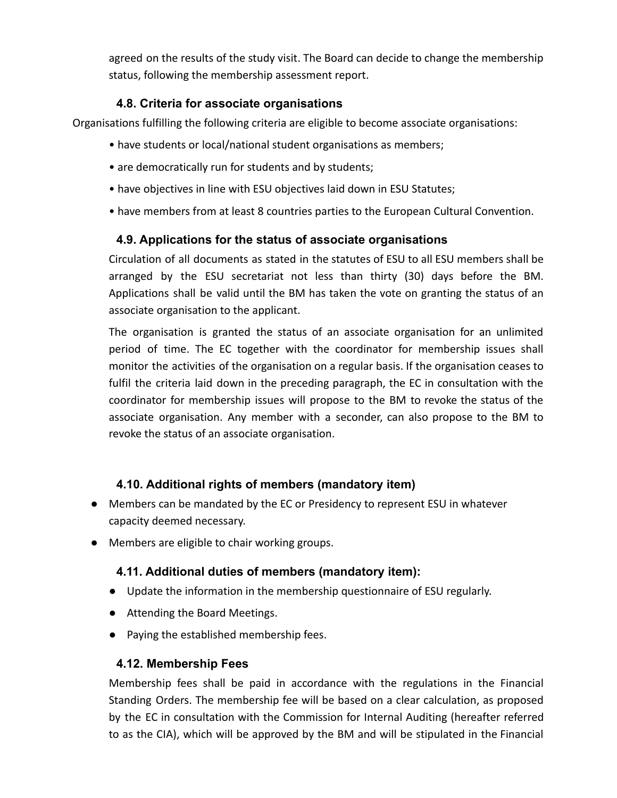<span id="page-10-0"></span>agreed on the results of the study visit. The Board can decide to change the membership status, following the membership assessment report.

#### **4.8. Criteria for associate organisations**

Organisations fulfilling the following criteria are eligible to become associate organisations:

- have students or local/national student organisations as members;
- are democratically run for students and by students;
- have objectives in line with ESU objectives laid down in ESU Statutes;
- <span id="page-10-1"></span>• have members from at least 8 countries parties to the European Cultural Convention.

#### **4.9. Applications for the status of associate organisations**

Circulation of all documents as stated in the statutes of ESU to all ESU members shall be arranged by the ESU secretariat not less than thirty (30) days before the BM. Applications shall be valid until the BM has taken the vote on granting the status of an associate organisation to the applicant.

The organisation is granted the status of an associate organisation for an unlimited period of time. The EC together with the coordinator for membership issues shall monitor the activities of the organisation on a regular basis. If the organisation ceases to fulfil the criteria laid down in the preceding paragraph, the EC in consultation with the coordinator for membership issues will propose to the BM to revoke the status of the associate organisation. Any member with a seconder, can also propose to the BM to revoke the status of an associate organisation.

#### <span id="page-10-2"></span>**4.10. Additional rights of members (mandatory item)**

- Members can be mandated by the EC or Presidency to represent ESU in whatever capacity deemed necessary.
- <span id="page-10-3"></span>● Members are eligible to chair working groups.

#### **4.11. Additional duties of members (mandatory item):**

- Update the information in the membership questionnaire of ESU regularly.
- Attending the Board Meetings.
- <span id="page-10-4"></span>● Paying the established membership fees.

#### **4.12. Membership Fees**

Membership fees shall be paid in accordance with the regulations in the Financial Standing Orders. The membership fee will be based on a clear calculation, as proposed by the EC in consultation with the Commission for Internal Auditing (hereafter referred to as the CIA), which will be approved by the BM and will be stipulated in the Financial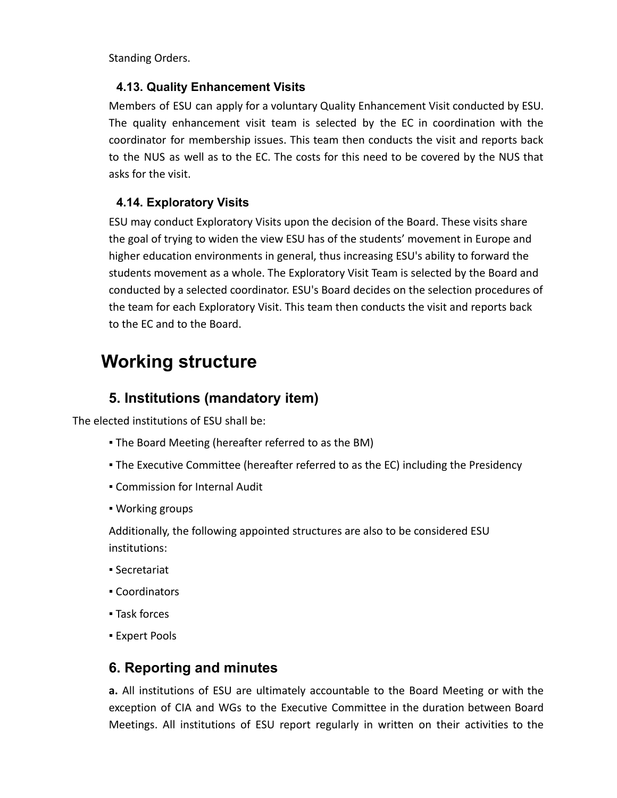<span id="page-11-0"></span>Standing Orders.

#### **4.13. Quality Enhancement Visits**

Members of ESU can apply for a voluntary Quality Enhancement Visit conducted by ESU. The quality enhancement visit team is selected by the EC in coordination with the coordinator for membership issues. This team then conducts the visit and reports back to the NUS as well as to the EC. The costs for this need to be covered by the NUS that asks for the visit.

#### <span id="page-11-1"></span>**4.14. Exploratory Visits**

ESU may conduct Exploratory Visits upon the decision of the Board. These visits share the goal of trying to widen the view ESU has of the students' movement in Europe and higher education environments in general, thus increasing ESU's ability to forward the students movement as a whole. The Exploratory Visit Team is selected by the Board and conducted by a selected coordinator. ESU's Board decides on the selection procedures of the team for each Exploratory Visit. This team then conducts the visit and reports back to the EC and to the Board.

# **Working structure**

### **5. Institutions (mandatory item)**

The elected institutions of ESU shall be:

- . The Board Meeting (hereafter referred to as the BM)
- The Executive Committee (hereafter referred to as the EC) including the Presidency
- Commission for Internal Audit
- Working groups

Additionally, the following appointed structures are also to be considered ESU institutions:

- Secretariat
- Coordinators
- Task forces
- **Expert Pools**

#### **6. Reporting and minutes**

**a.** All institutions of ESU are ultimately accountable to the Board Meeting or with the exception of CIA and WGs to the Executive Committee in the duration between Board Meetings. All institutions of ESU report regularly in written on their activities to the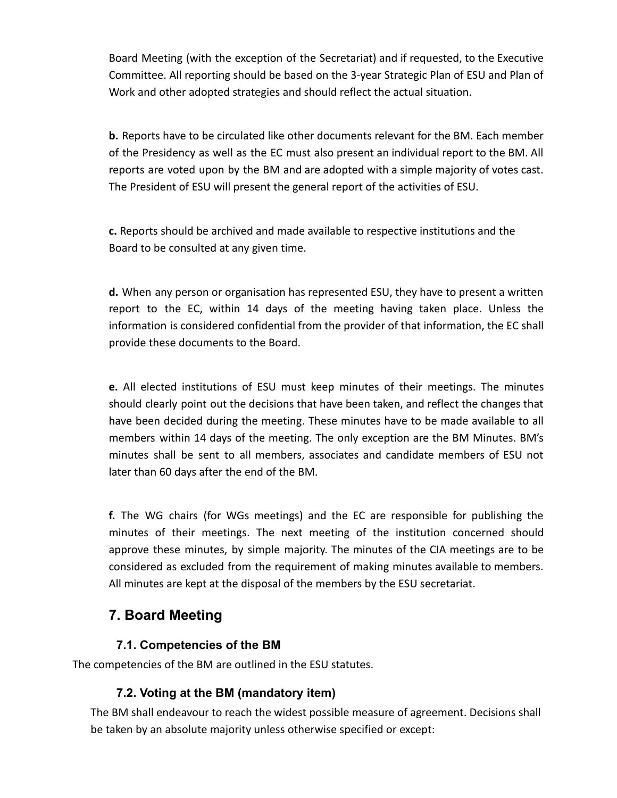Board Meeting (with the exception of the Secretariat) and if requested, to the Executive Committee. All reporting should be based on the 3-year Strategic Plan of ESU and Plan of Work and other adopted strategies and should reflect the actual situation.

**b.** Reports have to be circulated like other documents relevant for the BM. Each member of the Presidency as well as the EC must also present an individual report to the BM. All reports are voted upon by the BM and are adopted with a simple majority of votes cast. The President of ESU will present the general report of the activities of ESU.

**c.** Reports should be archived and made available to respective institutions and the Board to be consulted at any given time.

**d.** When any person or organisation has represented ESU, they have to present a written report to the EC, within 14 days of the meeting having taken place. Unless the information is considered confidential from the provider of that information, the EC shall provide these documents to the Board.

**e.** All elected institutions of ESU must keep minutes of their meetings. The minutes should clearly point out the decisions that have been taken, and reflect the changes that have been decided during the meeting. These minutes have to be made available to all members within 14 days of the meeting. The only exception are the BM Minutes. BM's minutes shall be sent to all members, associates and candidate members of ESU not later than 60 days after the end of the BM.

**f.** The WG chairs (for WGs meetings) and the EC are responsible for publishing the minutes of their meetings. The next meeting of the institution concerned should approve these minutes, by simple majority. The minutes of the CIA meetings are to be considered as excluded from the requirement of making minutes available to members. All minutes are kept at the disposal of the members by the ESU secretariat.

# **7. Board Meeting**

#### **7.1. Competencies of the BM**

<span id="page-12-1"></span><span id="page-12-0"></span>The competencies of the BM are outlined in the ESU statutes.

#### **7.2. Voting at the BM (mandatory item)**

The BM shall endeavour to reach the widest possible measure of agreement. Decisions shall be taken by an absolute majority unless otherwise specified or except: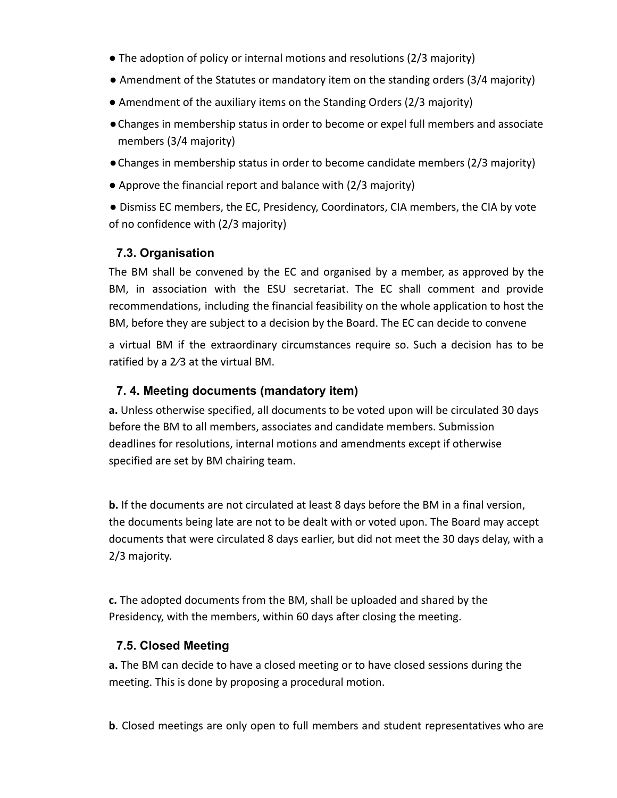- The adoption of policy or internal motions and resolutions (2/3 majority)
- Amendment of the Statutes or mandatory item on the standing orders (3/4 majority)
- Amendment of the auxiliary items on the Standing Orders (2/3 majority)
- ●Changes in membership status in order to become or expel full members and associate members (3/4 majority)
- ●Changes in membership status in order to become candidate members (2/3 majority)
- Approve the financial report and balance with (2/3 majority)

<span id="page-13-0"></span>● Dismiss EC members, the EC, Presidency, Coordinators, CIA members, the CIA by vote of no confidence with (2/3 majority)

#### **7.3. Organisation**

The BM shall be convened by the EC and organised by a member, as approved by the BM, in association with the ESU secretariat. The EC shall comment and provide recommendations, including the financial feasibility on the whole application to host the BM, before they are subject to a decision by the Board. The EC can decide to convene

<span id="page-13-1"></span>a virtual BM if the extraordinary circumstances require so. Such a decision has to be ratified by a 2⁄3 at the virtual BM.

#### **7. 4. Meeting documents (mandatory item)**

**a.** Unless otherwise specified, all documents to be voted upon will be circulated 30 days before the BM to all members, associates and candidate members. Submission deadlines for resolutions, internal motions and amendments except if otherwise specified are set by BM chairing team.

**b.** If the documents are not circulated at least 8 days before the BM in a final version, the documents being late are not to be dealt with or voted upon. The Board may accept documents that were circulated 8 days earlier, but did not meet the 30 days delay, with a 2/3 majority.

<span id="page-13-2"></span>**c.** The adopted documents from the BM, shall be uploaded and shared by the Presidency, with the members, within 60 days after closing the meeting.

#### **7.5. Closed Meeting**

**a.** The BM can decide to have a closed meeting or to have closed sessions during the meeting. This is done by proposing a procedural motion.

**b**. Closed meetings are only open to full members and student representatives who are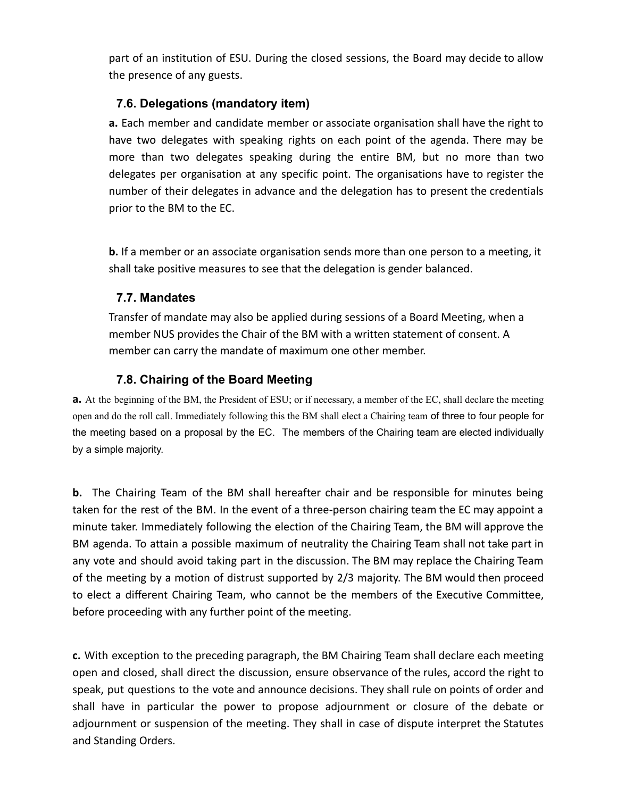<span id="page-14-0"></span>part of an institution of ESU. During the closed sessions, the Board may decide to allow the presence of any guests.

#### **7.6. Delegations (mandatory item)**

**a.** Each member and candidate member or associate organisation shall have the right to have two delegates with speaking rights on each point of the agenda. There may be more than two delegates speaking during the entire BM, but no more than two delegates per organisation at any specific point. The organisations have to register the number of their delegates in advance and the delegation has to present the credentials prior to the BM to the EC.

<span id="page-14-1"></span>**b.** If a member or an associate organisation sends more than one person to a meeting, it shall take positive measures to see that the delegation is gender balanced.

#### **7.7. Mandates**

<span id="page-14-2"></span>Transfer of mandate may also be applied during sessions of a Board Meeting, when a member NUS provides the Chair of the BM with a written statement of consent. A member can carry the mandate of maximum one other member.

#### **7.8. Chairing of the Board Meeting**

**a.** At the beginning of the BM, the President of ESU; or if necessary, a member of the EC, shall declare the meeting open and do the roll call. Immediately following this the BM shall elect a Chairing team of three to four people for the meeting based on a proposal by the EC. The members of the Chairing team are elected individually by a simple majority.

**b.** The Chairing Team of the BM shall hereafter chair and be responsible for minutes being taken for the rest of the BM. In the event of a three-person chairing team the EC may appoint a minute taker. Immediately following the election of the Chairing Team, the BM will approve the BM agenda. To attain a possible maximum of neutrality the Chairing Team shall not take part in any vote and should avoid taking part in the discussion. The BM may replace the Chairing Team of the meeting by a motion of distrust supported by 2/3 majority. The BM would then proceed to elect a different Chairing Team, who cannot be the members of the Executive Committee, before proceeding with any further point of the meeting.

**c.** With exception to the preceding paragraph, the BM Chairing Team shall declare each meeting open and closed, shall direct the discussion, ensure observance of the rules, accord the right to speak, put questions to the vote and announce decisions. They shall rule on points of order and shall have in particular the power to propose adjournment or closure of the debate or adjournment or suspension of the meeting. They shall in case of dispute interpret the Statutes and Standing Orders.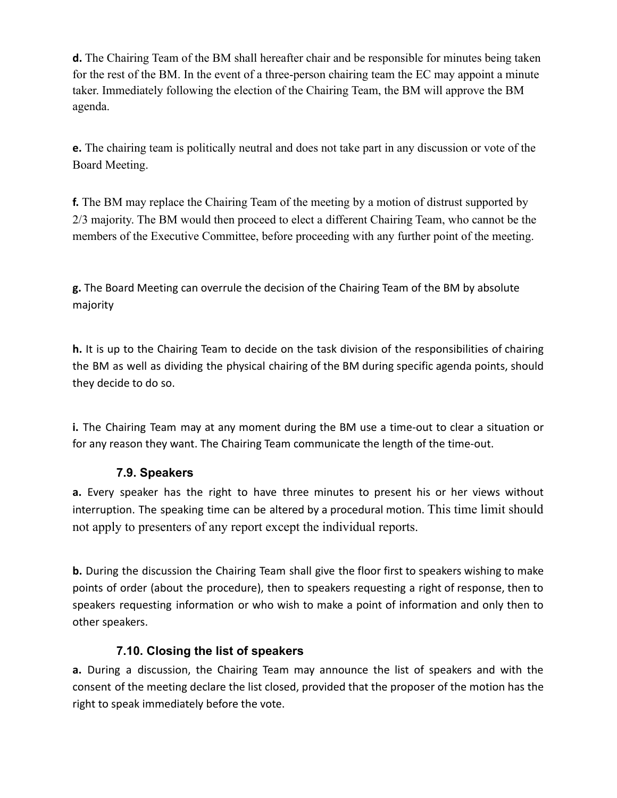**d.** The Chairing Team of the BM shall hereafter chair and be responsible for minutes being taken for the rest of the BM. In the event of a three-person chairing team the EC may appoint a minute taker. Immediately following the election of the Chairing Team, the BM will approve the BM agenda.

**e.** The chairing team is politically neutral and does not take part in any discussion or vote of the Board Meeting.

**f.** The BM may replace the Chairing Team of the meeting by a motion of distrust supported by 2/3 majority. The BM would then proceed to elect a different Chairing Team, who cannot be the members of the Executive Committee, before proceeding with any further point of the meeting.

**g.** The Board Meeting can overrule the decision of the Chairing Team of the BM by absolute majority

**h.** It is up to the Chairing Team to decide on the task division of the responsibilities of chairing the BM as well as dividing the physical chairing of the BM during specific agenda points, should they decide to do so.

<span id="page-15-0"></span>**i.** The Chairing Team may at any moment during the BM use a time-out to clear a situation or for any reason they want. The Chairing Team communicate the length of the time-out.

#### **7.9. Speakers**

**a.** Every speaker has the right to have three minutes to present his or her views without interruption. The speaking time can be altered by a procedural motion. This time limit should not apply to presenters of any report except the individual reports.

<span id="page-15-1"></span>**b.** During the discussion the Chairing Team shall give the floor first to speakers wishing to make points of order (about the procedure), then to speakers requesting a right of response, then to speakers requesting information or who wish to make a point of information and only then to other speakers.

#### **7.10. Closing the list of speakers**

**a.** During a discussion, the Chairing Team may announce the list of speakers and with the consent of the meeting declare the list closed, provided that the proposer of the motion has the right to speak immediately before the vote.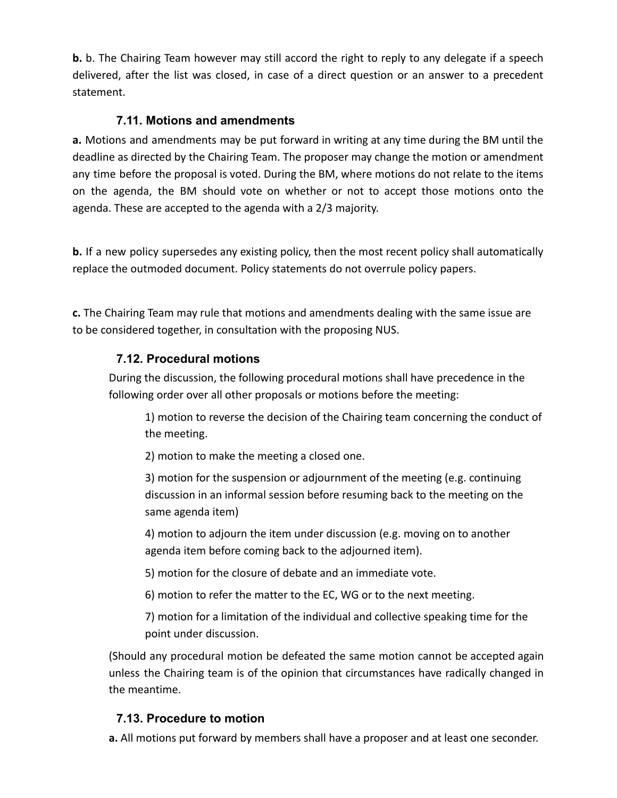<span id="page-16-0"></span>**b.** b. The Chairing Team however may still accord the right to reply to any delegate if a speech delivered, after the list was closed, in case of a direct question or an answer to a precedent statement.

#### **7.11. Motions and amendments**

**a.** Motions and amendments may be put forward in writing at any time during the BM until the deadline as directed by the Chairing Team. The proposer may change the motion or amendment any time before the proposal is voted. During the BM, where motions do not relate to the items on the agenda, the BM should vote on whether or not to accept those motions onto the agenda. These are accepted to the agenda with a 2/3 majority.

**b.** If a new policy supersedes any existing policy, then the most recent policy shall automatically replace the outmoded document. Policy statements do not overrule policy papers.

<span id="page-16-1"></span>**c.** The Chairing Team may rule that motions and amendments dealing with the same issue are to be considered together, in consultation with the proposing NUS.

#### **7.12. Procedural motions**

During the discussion, the following procedural motions shall have precedence in the following order over all other proposals or motions before the meeting:

1) motion to reverse the decision of the Chairing team concerning the conduct of the meeting.

2) motion to make the meeting a closed one.

3) motion for the suspension or adjournment of the meeting (e.g. continuing discussion in an informal session before resuming back to the meeting on the same agenda item)

4) motion to adjourn the item under discussion (e.g. moving on to another agenda item before coming back to the adjourned item).

5) motion for the closure of debate and an immediate vote.

6) motion to refer the matter to the EC, WG or to the next meeting.

7) motion for a limitation of the individual and collective speaking time for the point under discussion.

<span id="page-16-2"></span>(Should any procedural motion be defeated the same motion cannot be accepted again unless the Chairing team is of the opinion that circumstances have radically changed in the meantime.

#### **7.13. Procedure to motion**

**a.** All motions put forward by members shall have a proposer and at least one seconder.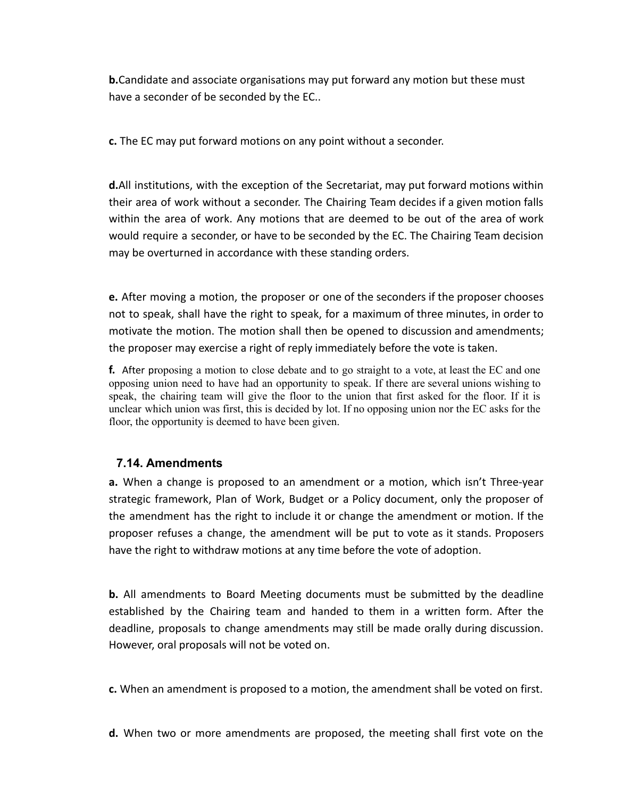**b.**Candidate and associate organisations may put forward any motion but these must have a seconder of be seconded by the EC..

**c.** The EC may put forward motions on any point without a seconder.

**d.**All institutions, with the exception of the Secretariat, may put forward motions within their area of work without a seconder. The Chairing Team decides if a given motion falls within the area of work. Any motions that are deemed to be out of the area of work would require a seconder, or have to be seconded by the EC. The Chairing Team decision may be overturned in accordance with these standing orders.

**e.** After moving a motion, the proposer or one of the seconders if the proposer chooses not to speak, shall have the right to speak, for a maximum of three minutes, in order to motivate the motion. The motion shall then be opened to discussion and amendments; the proposer may exercise a right of reply immediately before the vote is taken.

**f.** After proposing a motion to close debate and to go straight to a vote, at least the EC and one opposing union need to have had an opportunity to speak. If there are several unions wishing to speak, the chairing team will give the floor to the union that first asked for the floor. If it is unclear which union was first, this is decided by lot. If no opposing union nor the EC asks for the floor, the opportunity is deemed to have been given.

#### <span id="page-17-0"></span>**7.14. Amendments**

**a.** When a change is proposed to an amendment or a motion, which isn't Three-year strategic framework, Plan of Work, Budget or a Policy document, only the proposer of the amendment has the right to include it or change the amendment or motion. If the proposer refuses a change, the amendment will be put to vote as it stands. Proposers have the right to withdraw motions at any time before the vote of adoption.

**b.** All amendments to Board Meeting documents must be submitted by the deadline established by the Chairing team and handed to them in a written form. After the deadline, proposals to change amendments may still be made orally during discussion. However, oral proposals will not be voted on.

**c.** When an amendment is proposed to a motion, the amendment shall be voted on first.

**d.** When two or more amendments are proposed, the meeting shall first vote on the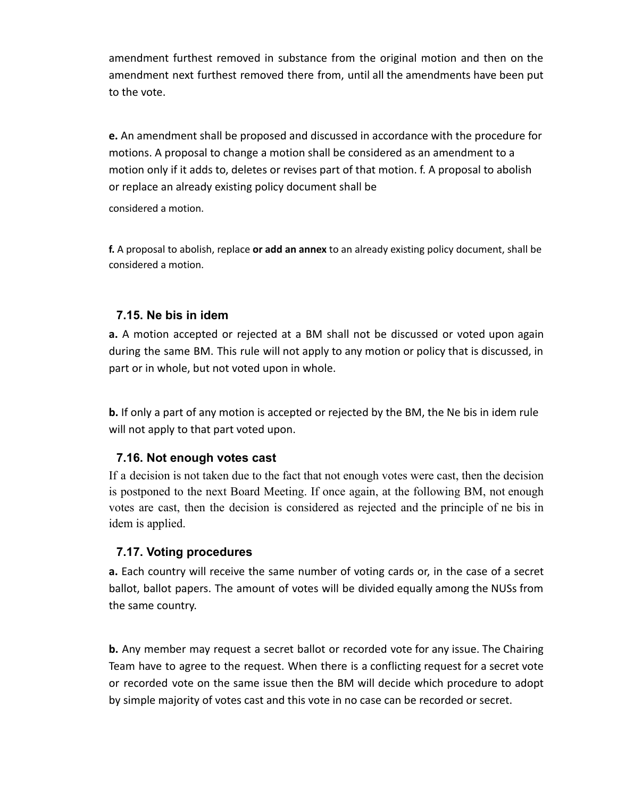amendment furthest removed in substance from the original motion and then on the amendment next furthest removed there from, until all the amendments have been put to the vote.

**e.** An amendment shall be proposed and discussed in accordance with the procedure for motions. A proposal to change a motion shall be considered as an amendment to a motion only if it adds to, deletes or revises part of that motion. f. A proposal to abolish or replace an already existing policy document shall be

<span id="page-18-0"></span>considered a motion.

**f.** A proposal to abolish, replace **or add an annex** to an already existing policy document, shall be considered a motion.

#### **7.15. Ne bis in idem**

**a.** A motion accepted or rejected at a BM shall not be discussed or voted upon again during the same BM. This rule will not apply to any motion or policy that is discussed, in part or in whole, but not voted upon in whole.

<span id="page-18-1"></span>**b.** If only a part of any motion is accepted or rejected by the BM, the Ne bis in idem rule will not apply to that part voted upon.

#### **7.16. Not enough votes cast**

If a decision is not taken due to the fact that not enough votes were cast, then the decision is postponed to the next Board Meeting. If once again, at the following BM, not enough votes are cast, then the decision is considered as rejected and the principle of ne bis in idem is applied.

#### <span id="page-18-2"></span>**7.17. Voting procedures**

**a.** Each country will receive the same number of voting cards or, in the case of a secret ballot, ballot papers. The amount of votes will be divided equally among the NUSs from the same country.

**b.** Any member may request a secret ballot or recorded vote for any issue. The Chairing Team have to agree to the request. When there is a conflicting request for a secret vote or recorded vote on the same issue then the BM will decide which procedure to adopt by simple majority of votes cast and this vote in no case can be recorded or secret.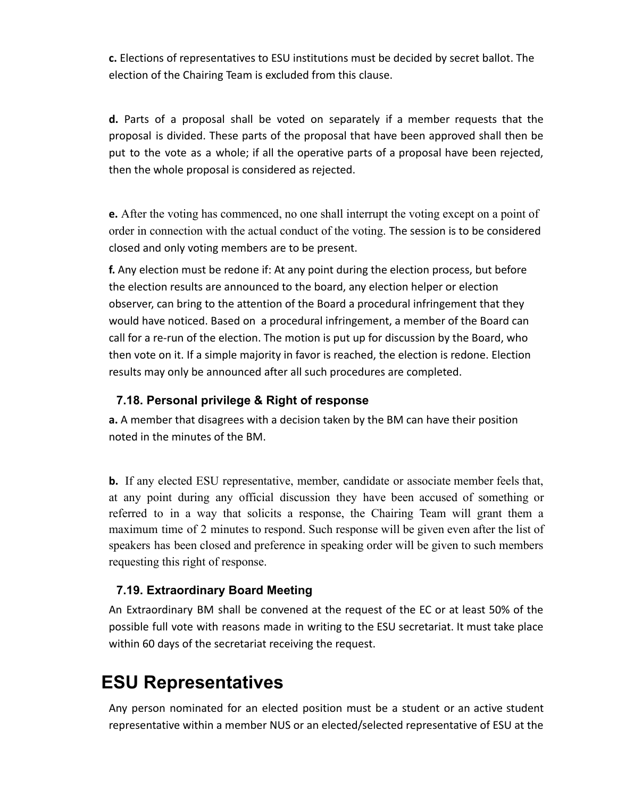**c.** Elections of representatives to ESU institutions must be decided by secret ballot. The election of the Chairing Team is excluded from this clause.

**d.** Parts of a proposal shall be voted on separately if a member requests that the proposal is divided. These parts of the proposal that have been approved shall then be put to the vote as a whole; if all the operative parts of a proposal have been rejected, then the whole proposal is considered as rejected.

**e.** After the voting has commenced, no one shall interrupt the voting except on a point of order in connection with the actual conduct of the voting. The session is to be considered closed and only voting members are to be present.

**f.** Any election must be redone if: At any point during the election process, but before the election results are announced to the board, any election helper or election observer, can bring to the attention of the Board a procedural infringement that they would have noticed. Based on a procedural infringement, a member of the Board can call for a re-run of the election. The motion is put up for discussion by the Board, who then vote on it. If a simple majority in favor is reached, the election is redone. Election results may only be announced after all such procedures are completed.

#### <span id="page-19-0"></span>**7.18. Personal privilege & Right of response**

**a.** A member that disagrees with a decision taken by the BM can have their position noted in the minutes of the BM.

**b.** If any elected ESU representative, member, candidate or associate member feels that, at any point during any official discussion they have been accused of something or referred to in a way that solicits a response, the Chairing Team will grant them a maximum time of 2 minutes to respond. Such response will be given even after the list of speakers has been closed and preference in speaking order will be given to such members requesting this right of response.

#### <span id="page-19-1"></span>**7.19. Extraordinary Board Meeting**

An Extraordinary BM shall be convened at the request of the EC or at least 50% of the possible full vote with reasons made in writing to the ESU secretariat. It must take place within 60 days of the secretariat receiving the request.

# **ESU Representatives**

Any person nominated for an elected position must be a student or an active student representative within a member NUS or an elected/selected representative of ESU at the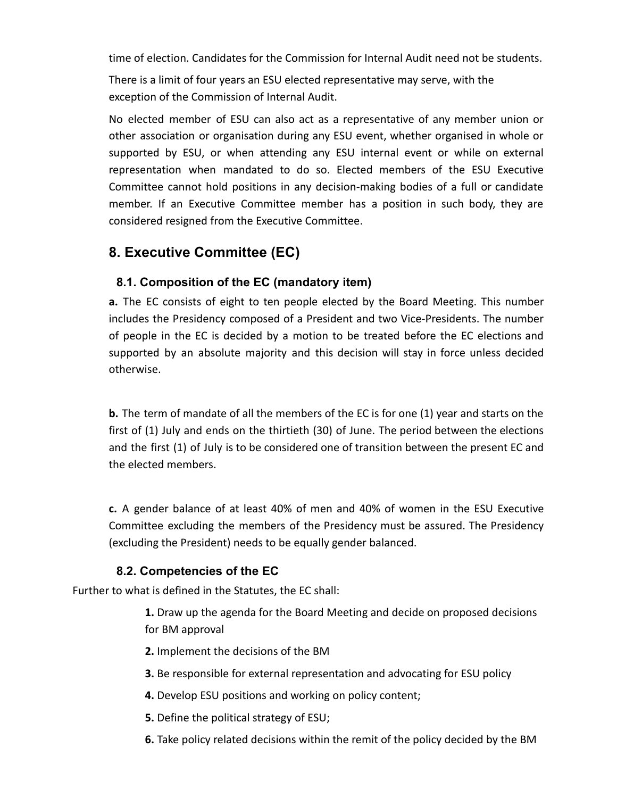time of election. Candidates for the Commission for Internal Audit need not be students.

There is a limit of four years an ESU elected representative may serve, with the exception of the Commission of Internal Audit.

No elected member of ESU can also act as a representative of any member union or other association or organisation during any ESU event, whether organised in whole or supported by ESU, or when attending any ESU internal event or while on external representation when mandated to do so. Elected members of the ESU Executive Committee cannot hold positions in any decision-making bodies of a full or candidate member. If an Executive Committee member has a position in such body, they are considered resigned from the Executive Committee.

# <span id="page-20-0"></span>**8. Executive Committee (EC)**

#### **8.1. Composition of the EC (mandatory item)**

**a.** The EC consists of eight to ten people elected by the Board Meeting. This number includes the Presidency composed of a President and two Vice-Presidents. The number of people in the EC is decided by a motion to be treated before the EC elections and supported by an absolute majority and this decision will stay in force unless decided otherwise.

**b.** The term of mandate of all the members of the EC is for one (1) year and starts on the first of (1) July and ends on the thirtieth (30) of June. The period between the elections and the first (1) of July is to be considered one of transition between the present EC and the elected members.

<span id="page-20-1"></span>**c.** A gender balance of at least 40% of men and 40% of women in the ESU Executive Committee excluding the members of the Presidency must be assured. The Presidency (excluding the President) needs to be equally gender balanced.

#### **8.2. Competencies of the EC**

Further to what is defined in the Statutes, the EC shall:

**1.** Draw up the agenda for the Board Meeting and decide on proposed decisions for BM approval

- **2.** Implement the decisions of the BM
- **3.** Be responsible for external representation and advocating for ESU policy
- **4.** Develop ESU positions and working on policy content;
- **5.** Define the political strategy of ESU;
- **6.** Take policy related decisions within the remit of the policy decided by the BM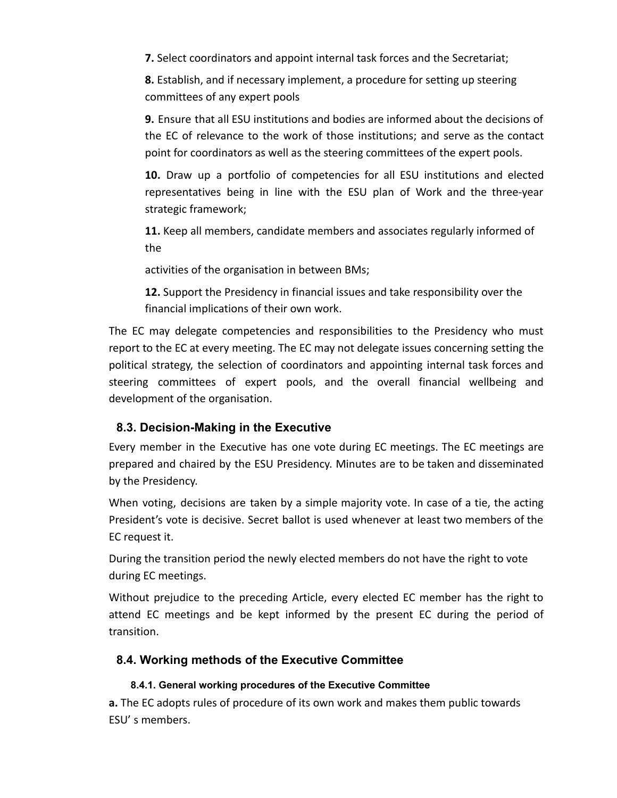**7.** Select coordinators and appoint internal task forces and the Secretariat;

**8.** Establish, and if necessary implement, a procedure for setting up steering committees of any expert pools

**9.** Ensure that all ESU institutions and bodies are informed about the decisions of the EC of relevance to the work of those institutions; and serve as the contact point for coordinators as well as the steering committees of the expert pools.

**10.** Draw up a portfolio of competencies for all ESU institutions and elected representatives being in line with the ESU plan of Work and the three-year strategic framework;

**11.** Keep all members, candidate members and associates regularly informed of the

activities of the organisation in between BMs;

**12.** Support the Presidency in financial issues and take responsibility over the financial implications of their own work.

The EC may delegate competencies and responsibilities to the Presidency who must report to the EC at every meeting. The EC may not delegate issues concerning setting the political strategy, the selection of coordinators and appointing internal task forces and steering committees of expert pools, and the overall financial wellbeing and development of the organisation.

#### <span id="page-21-0"></span>**8.3. Decision-Making in the Executive**

Every member in the Executive has one vote during EC meetings. The EC meetings are prepared and chaired by the ESU Presidency. Minutes are to be taken and disseminated by the Presidency.

When voting, decisions are taken by a simple majority vote. In case of a tie, the acting President's vote is decisive. Secret ballot is used whenever at least two members of the EC request it.

During the transition period the newly elected members do not have the right to vote during EC meetings.

<span id="page-21-1"></span>Without prejudice to the preceding Article, every elected EC member has the right to attend EC meetings and be kept informed by the present EC during the period of transition.

#### **8.4. Working methods of the Executive Committee**

#### **8.4.1. General working procedures of the Executive Committee**

<span id="page-21-2"></span>**a.** The EC adopts rules of procedure of its own work and makes them public towards ESU' s members.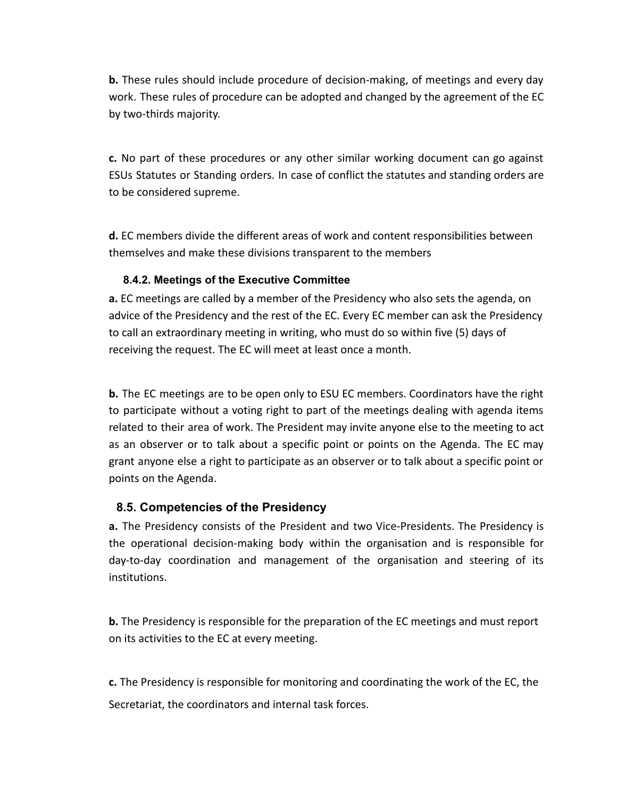**b.** These rules should include procedure of decision-making, of meetings and every day work. These rules of procedure can be adopted and changed by the agreement of the EC by two-thirds majority.

**c.** No part of these procedures or any other similar working document can go against ESUs Statutes or Standing orders. In case of conflict the statutes and standing orders are to be considered supreme.

<span id="page-22-0"></span>**d.** EC members divide the different areas of work and content responsibilities between themselves and make these divisions transparent to the members

#### **8.4.2. Meetings of the Executive Committee**

**a.** EC meetings are called by a member of the Presidency who also sets the agenda, on advice of the Presidency and the rest of the EC. Every EC member can ask the Presidency to call an extraordinary meeting in writing, who must do so within five (5) days of receiving the request. The EC will meet at least once a month.

**b.** The EC meetings are to be open only to ESU EC members. Coordinators have the right to participate without a voting right to part of the meetings dealing with agenda items related to their area of work. The President may invite anyone else to the meeting to act as an observer or to talk about a specific point or points on the Agenda. The EC may grant anyone else a right to participate as an observer or to talk about a specific point or points on the Agenda.

#### <span id="page-22-1"></span>**8.5. Competencies of the Presidency**

**a.** The Presidency consists of the President and two Vice-Presidents. The Presidency is the operational decision-making body within the organisation and is responsible for day-to-day coordination and management of the organisation and steering of its institutions.

**b.** The Presidency is responsible for the preparation of the EC meetings and must report on its activities to the EC at every meeting.

**c.** The Presidency is responsible for monitoring and coordinating the work of the EC, the Secretariat, the coordinators and internal task forces.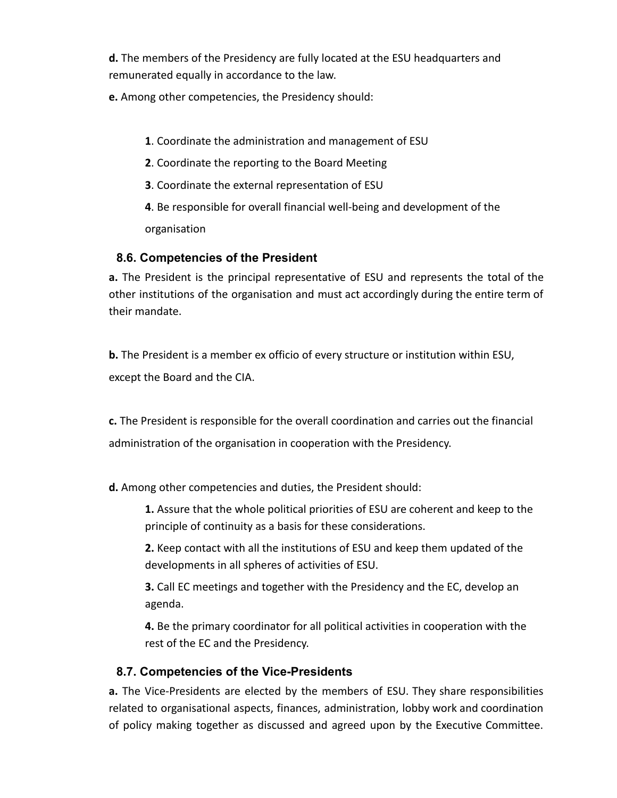**d.** The members of the Presidency are fully located at the ESU headquarters and remunerated equally in accordance to the law.

**e.** Among other competencies, the Presidency should:

- **1**. Coordinate the administration and management of ESU
- **2**. Coordinate the reporting to the Board Meeting
- **3**. Coordinate the external representation of ESU

**4**. Be responsible for overall financial well-being and development of the organisation

#### <span id="page-23-0"></span>**8.6. Competencies of the President**

**a.** The President is the principal representative of ESU and represents the total of the other institutions of the organisation and must act accordingly during the entire term of their mandate.

**b.** The President is a member ex officio of every structure or institution within ESU, except the Board and the CIA.

**c.** The President is responsible for the overall coordination and carries out the financial administration of the organisation in cooperation with the Presidency.

**d.** Among other competencies and duties, the President should:

**1.** Assure that the whole political priorities of ESU are coherent and keep to the principle of continuity as a basis for these considerations.

**2.** Keep contact with all the institutions of ESU and keep them updated of the developments in all spheres of activities of ESU.

**3.** Call EC meetings and together with the Presidency and the EC, develop an agenda.

**4.** Be the primary coordinator for all political activities in cooperation with the rest of the EC and the Presidency.

#### <span id="page-23-1"></span>**8.7. Competencies of the Vice-Presidents**

**a.** The Vice-Presidents are elected by the members of ESU. They share responsibilities related to organisational aspects, finances, administration, lobby work and coordination of policy making together as discussed and agreed upon by the Executive Committee.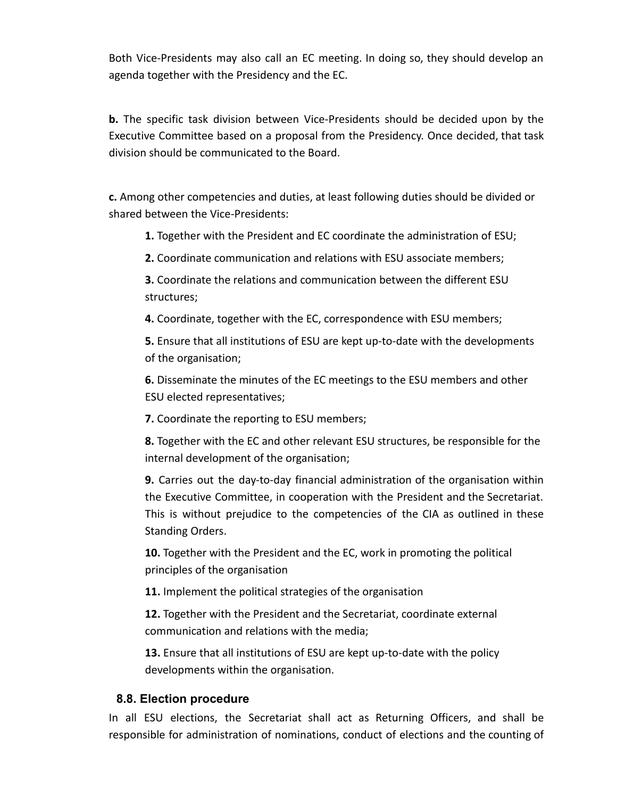Both Vice-Presidents may also call an EC meeting. In doing so, they should develop an agenda together with the Presidency and the EC.

**b.** The specific task division between Vice-Presidents should be decided upon by the Executive Committee based on a proposal from the Presidency. Once decided, that task division should be communicated to the Board.

**c.** Among other competencies and duties, at least following duties should be divided or shared between the Vice-Presidents:

**1.** Together with the President and EC coordinate the administration of ESU;

**2.** Coordinate communication and relations with ESU associate members;

**3.** Coordinate the relations and communication between the different ESU structures;

**4.** Coordinate, together with the EC, correspondence with ESU members;

**5.** Ensure that all institutions of ESU are kept up-to-date with the developments of the organisation;

**6.** Disseminate the minutes of the EC meetings to the ESU members and other ESU elected representatives;

**7.** Coordinate the reporting to ESU members;

**8.** Together with the EC and other relevant ESU structures, be responsible for the internal development of the organisation;

**9.** Carries out the day-to-day financial administration of the organisation within the Executive Committee, in cooperation with the President and the Secretariat. This is without prejudice to the competencies of the CIA as outlined in these Standing Orders.

**10.** Together with the President and the EC, work in promoting the political principles of the organisation

**11.** Implement the political strategies of the organisation

**12.** Together with the President and the Secretariat, coordinate external communication and relations with the media;

**13.** Ensure that all institutions of ESU are kept up-to-date with the policy developments within the organisation.

#### <span id="page-24-0"></span>**8.8. Election procedure**

In all ESU elections, the Secretariat shall act as Returning Officers, and shall be responsible for administration of nominations, conduct of elections and the counting of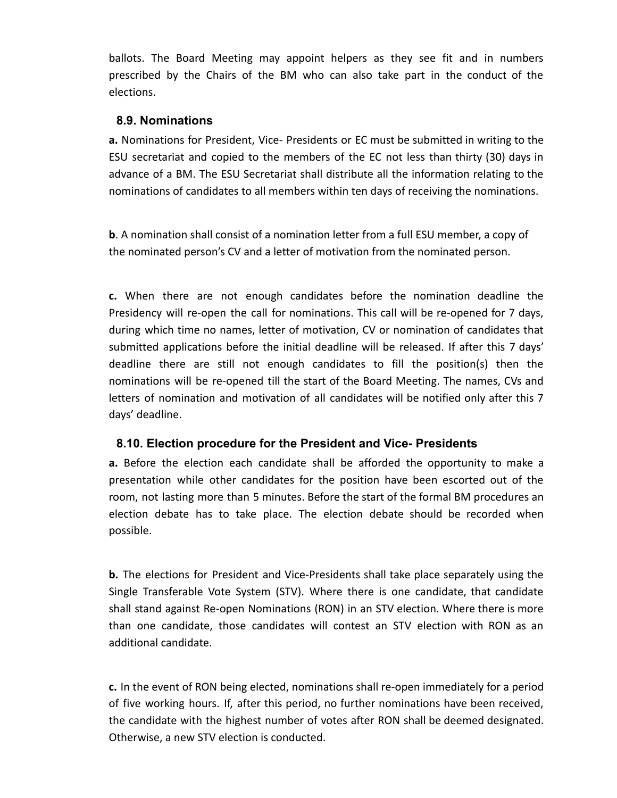<span id="page-25-0"></span>ballots. The Board Meeting may appoint helpers as they see fit and in numbers prescribed by the Chairs of the BM who can also take part in the conduct of the elections.

#### **8.9. Nominations**

**a.** Nominations for President, Vice- Presidents or EC must be submitted in writing to the ESU secretariat and copied to the members of the EC not less than thirty (30) days in advance of a BM. The ESU Secretariat shall distribute all the information relating to the nominations of candidates to all members within ten days of receiving the nominations.

**b**. A nomination shall consist of a nomination letter from a full ESU member, a copy of the nominated person's CV and a letter of motivation from the nominated person.

**c.** When there are not enough candidates before the nomination deadline the Presidency will re-open the call for nominations. This call will be re-opened for 7 days, during which time no names, letter of motivation, CV or nomination of candidates that submitted applications before the initial deadline will be released. If after this 7 days' deadline there are still not enough candidates to fill the position(s) then the nominations will be re-opened till the start of the Board Meeting. The names, CVs and letters of nomination and motivation of all candidates will be notified only after this 7 days' deadline.

#### <span id="page-25-1"></span>**8.10. Election procedure for the President and Vice- Presidents**

**a.** Before the election each candidate shall be afforded the opportunity to make a presentation while other candidates for the position have been escorted out of the room, not lasting more than 5 minutes. Before the start of the formal BM procedures an election debate has to take place. The election debate should be recorded when possible.

**b.** The elections for President and Vice-Presidents shall take place separately using the Single Transferable Vote System (STV). Where there is one candidate, that candidate shall stand against Re-open Nominations (RON) in an STV election. Where there is more than one candidate, those candidates will contest an STV election with RON as an additional candidate.

**c.** In the event of RON being elected, nominations shall re-open immediately for a period of five working hours. If, after this period, no further nominations have been received, the candidate with the highest number of votes after RON shall be deemed designated. Otherwise, a new STV election is conducted.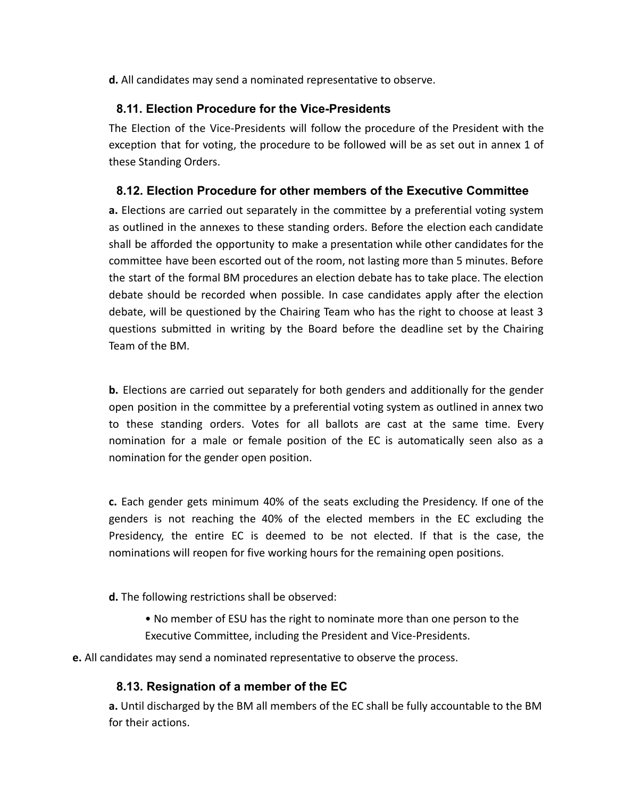<span id="page-26-0"></span>**d.** All candidates may send a nominated representative to observe.

#### **8.11. Election Procedure for the Vice-Presidents**

<span id="page-26-1"></span>The Election of the Vice-Presidents will follow the procedure of the President with the exception that for voting, the procedure to be followed will be as set out in annex 1 of these Standing Orders.

#### **8.12. Election Procedure for other members of the Executive Committee**

**a.** Elections are carried out separately in the committee by a preferential voting system as outlined in the annexes to these standing orders. Before the election each candidate shall be afforded the opportunity to make a presentation while other candidates for the committee have been escorted out of the room, not lasting more than 5 minutes. Before the start of the formal BM procedures an election debate has to take place. The election debate should be recorded when possible. In case candidates apply after the election debate, will be questioned by the Chairing Team who has the right to choose at least 3 questions submitted in writing by the Board before the deadline set by the Chairing Team of the BM.

**b.** Elections are carried out separately for both genders and additionally for the gender open position in the committee by a preferential voting system as outlined in annex two to these standing orders. Votes for all ballots are cast at the same time. Every nomination for a male or female position of the EC is automatically seen also as a nomination for the gender open position.

**c.** Each gender gets minimum 40% of the seats excluding the Presidency. If one of the genders is not reaching the 40% of the elected members in the EC excluding the Presidency, the entire EC is deemed to be not elected. If that is the case, the nominations will reopen for five working hours for the remaining open positions.

**d.** The following restrictions shall be observed:

• No member of ESU has the right to nominate more than one person to the Executive Committee, including the President and Vice-Presidents.

<span id="page-26-2"></span>**e.** All candidates may send a nominated representative to observe the process.

#### **8.13. Resignation of a member of the EC**

**a.** Until discharged by the BM all members of the EC shall be fully accountable to the BM for their actions.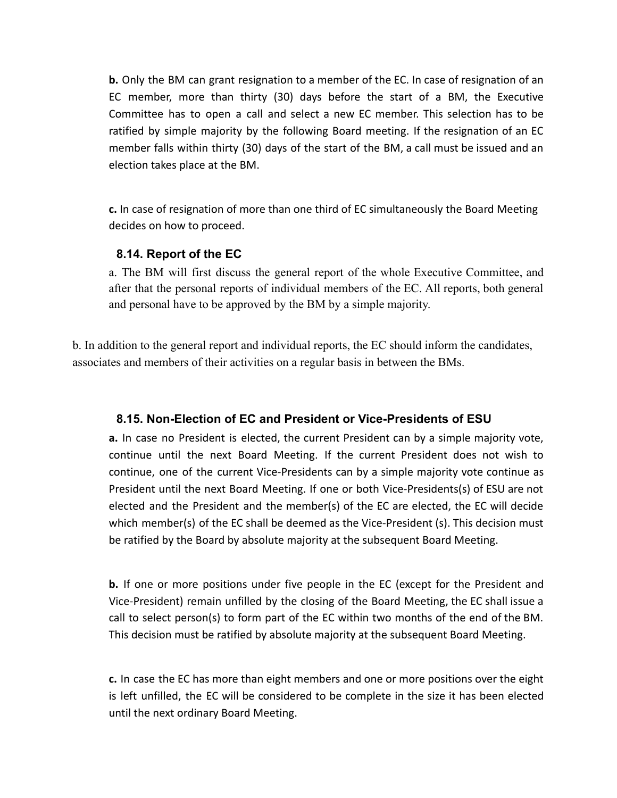**b.** Only the BM can grant resignation to a member of the EC. In case of resignation of an EC member, more than thirty (30) days before the start of a BM, the Executive Committee has to open a call and select a new EC member. This selection has to be ratified by simple majority by the following Board meeting. If the resignation of an EC member falls within thirty (30) days of the start of the BM, a call must be issued and an election takes place at the BM.

<span id="page-27-0"></span>**c.** In case of resignation of more than one third of EC simultaneously the Board Meeting decides on how to proceed.

#### **8.14. Report of the EC**

a. The BM will first discuss the general report of the whole Executive Committee, and after that the personal reports of individual members of the EC. All reports, both general and personal have to be approved by the BM by a simple majority.

<span id="page-27-1"></span>b. In addition to the general report and individual reports, the EC should inform the candidates, associates and members of their activities on a regular basis in between the BMs.

#### **8.15. Non-Election of EC and President or Vice-Presidents of ESU**

**a.** In case no President is elected, the current President can by a simple majority vote, continue until the next Board Meeting. If the current President does not wish to continue, one of the current Vice-Presidents can by a simple majority vote continue as President until the next Board Meeting. If one or both Vice-Presidents(s) of ESU are not elected and the President and the member(s) of the EC are elected, the EC will decide which member(s) of the EC shall be deemed as the Vice-President (s). This decision must be ratified by the Board by absolute majority at the subsequent Board Meeting.

**b.** If one or more positions under five people in the EC (except for the President and Vice-President) remain unfilled by the closing of the Board Meeting, the EC shall issue a call to select person(s) to form part of the EC within two months of the end of the BM. This decision must be ratified by absolute majority at the subsequent Board Meeting.

<span id="page-27-2"></span>**c.** In case the EC has more than eight members and one or more positions over the eight is left unfilled, the EC will be considered to be complete in the size it has been elected until the next ordinary Board Meeting.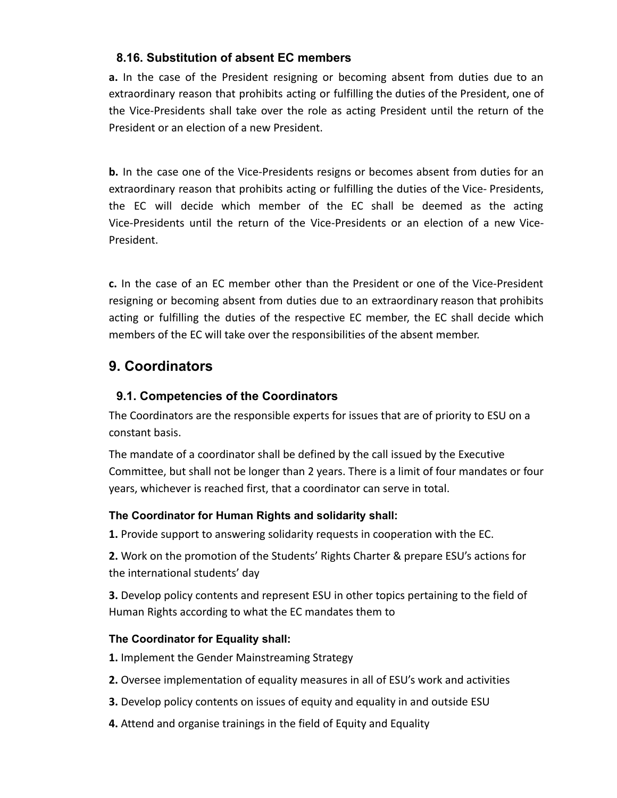#### **8.16. Substitution of absent EC members**

**a.** In the case of the President resigning or becoming absent from duties due to an extraordinary reason that prohibits acting or fulfilling the duties of the President, one of the Vice-Presidents shall take over the role as acting President until the return of the President or an election of a new President.

**b.** In the case one of the Vice-Presidents resigns or becomes absent from duties for an extraordinary reason that prohibits acting or fulfilling the duties of the Vice- Presidents, the EC will decide which member of the EC shall be deemed as the acting Vice-Presidents until the return of the Vice-Presidents or an election of a new Vice-President.

**c.** In the case of an EC member other than the President or one of the Vice-President resigning or becoming absent from duties due to an extraordinary reason that prohibits acting or fulfilling the duties of the respective EC member, the EC shall decide which members of the EC will take over the responsibilities of the absent member.

# **9. Coordinators**

#### <span id="page-28-0"></span>**9.1. Competencies of the Coordinators**

The Coordinators are the responsible experts for issues that are of priority to ESU on a constant basis.

The mandate of a coordinator shall be defined by the call issued by the Executive Committee, but shall not be longer than 2 years. There is a limit of four mandates or four years, whichever is reached first, that a coordinator can serve in total.

#### <span id="page-28-1"></span>**The Coordinator for Human Rights and solidarity shall:**

**1.** Provide support to answering solidarity requests in cooperation with the EC.

**2.** Work on the promotion of the Students' Rights Charter & prepare ESU's actions for the international students' day

<span id="page-28-2"></span>**3.** Develop policy contents and represent ESU in other topics pertaining to the field of Human Rights according to what the EC mandates them to

#### **The Coordinator for Equality shall:**

**1.** Implement the Gender Mainstreaming Strategy

- **2.** Oversee implementation of equality measures in all of ESU's work and activities
- **3.** Develop policy contents on issues of equity and equality in and outside ESU
- **4.** Attend and organise trainings in the field of Equity and Equality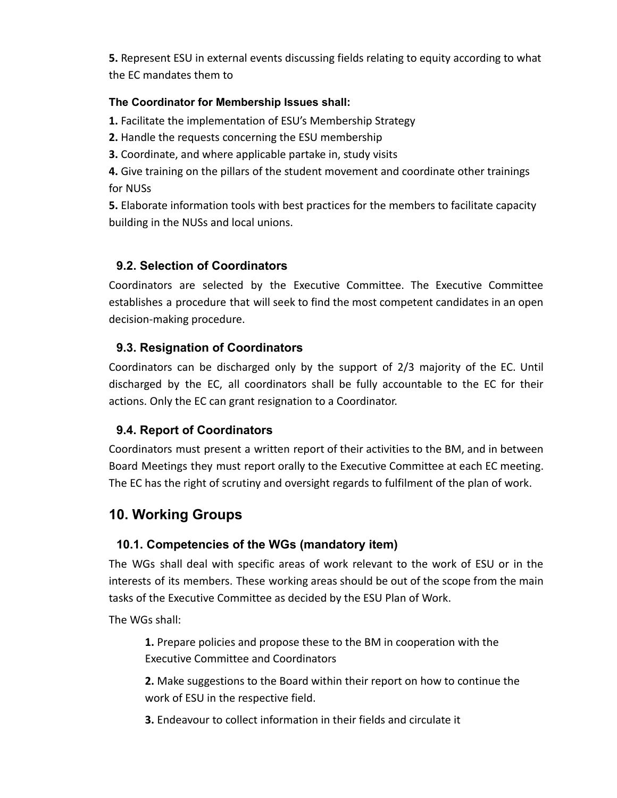<span id="page-29-0"></span>**5.** Represent ESU in external events discussing fields relating to equity according to what the EC mandates them to

#### **The Coordinator for Membership Issues shall:**

**1.** Facilitate the implementation of ESU's Membership Strategy

- **2.** Handle the requests concerning the ESU membership
- **3.** Coordinate, and where applicable partake in, study visits

**4.** Give training on the pillars of the student movement and coordinate other trainings for NUSs

<span id="page-29-1"></span>**5.** Elaborate information tools with best practices for the members to facilitate capacity building in the NUSs and local unions.

#### **9.2. Selection of Coordinators**

<span id="page-29-2"></span>Coordinators are selected by the Executive Committee. The Executive Committee establishes a procedure that will seek to find the most competent candidates in an open decision-making procedure.

#### **9.3. Resignation of Coordinators**

<span id="page-29-3"></span>Coordinators can be discharged only by the support of 2/3 majority of the EC. Until discharged by the EC, all coordinators shall be fully accountable to the EC for their actions. Only the EC can grant resignation to a Coordinator.

#### **9.4. Report of Coordinators**

Coordinators must present a written report of their activities to the BM, and in between Board Meetings they must report orally to the Executive Committee at each EC meeting. The EC has the right of scrutiny and oversight regards to fulfilment of the plan of work.

# <span id="page-29-4"></span>**10. Working Groups**

#### **10.1. Competencies of the WGs (mandatory item)**

The WGs shall deal with specific areas of work relevant to the work of ESU or in the interests of its members. These working areas should be out of the scope from the main tasks of the Executive Committee as decided by the ESU Plan of Work.

The WGs shall:

**1.** Prepare policies and propose these to the BM in cooperation with the Executive Committee and Coordinators

**2.** Make suggestions to the Board within their report on how to continue the work of ESU in the respective field.

**3.** Endeavour to collect information in their fields and circulate it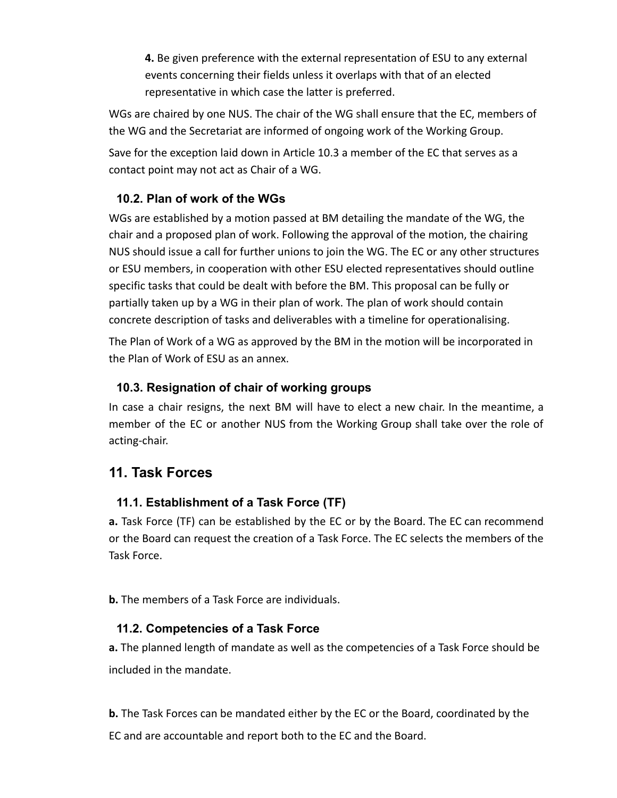**4.** Be given preference with the external representation of ESU to any external events concerning their fields unless it overlaps with that of an elected representative in which case the latter is preferred.

WGs are chaired by one NUS. The chair of the WG shall ensure that the EC, members of the WG and the Secretariat are informed of ongoing work of the Working Group.

<span id="page-30-0"></span>Save for the exception laid down in Article 10.3 a member of the EC that serves as a contact point may not act as Chair of a WG.

#### **10.2. Plan of work of the WGs**

WGs are established by a motion passed at BM detailing the mandate of the WG, the chair and a proposed plan of work. Following the approval of the motion, the chairing NUS should issue a call for further unions to join the WG. The EC or any other structures or ESU members, in cooperation with other ESU elected representatives should outline specific tasks that could be dealt with before the BM. This proposal can be fully or partially taken up by a WG in their plan of work. The plan of work should contain concrete description of tasks and deliverables with a timeline for operationalising.

<span id="page-30-1"></span>The Plan of Work of a WG as approved by the BM in the motion will be incorporated in the Plan of Work of ESU as an annex.

#### **10.3. Resignation of chair of working groups**

In case a chair resigns, the next BM will have to elect a new chair. In the meantime, a member of the EC or another NUS from the Working Group shall take over the role of acting-chair.

# <span id="page-30-2"></span>**11. Task Forces**

#### **11.1. Establishment of a Task Force (TF)**

**a.** Task Force (TF) can be established by the EC or by the Board. The EC can recommend or the Board can request the creation of a Task Force. The EC selects the members of the Task Force.

<span id="page-30-3"></span>**b.** The members of a Task Force are individuals.

#### **11.2. Competencies of a Task Force**

**a.** The planned length of mandate as well as the competencies of a Task Force should be included in the mandate.

**b.** The Task Forces can be mandated either by the EC or the Board, coordinated by the EC and are accountable and report both to the EC and the Board.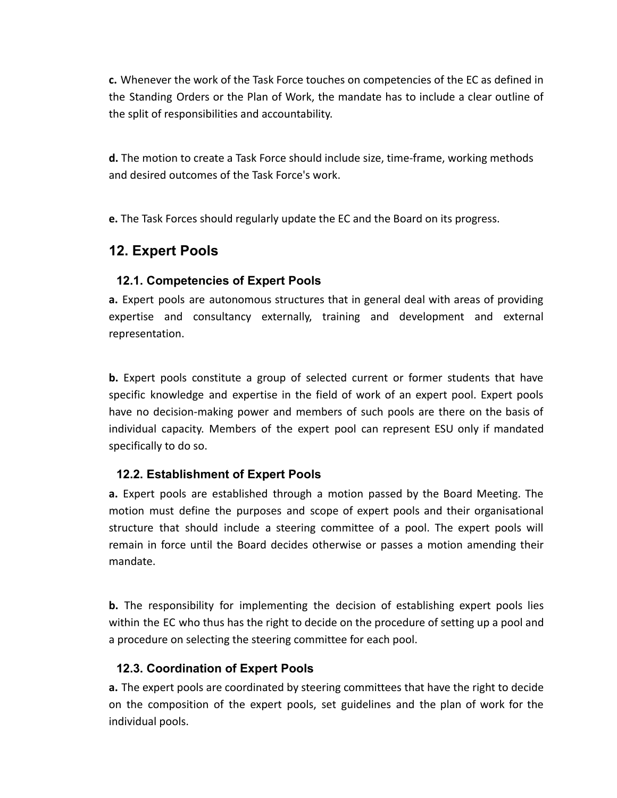**c.** Whenever the work of the Task Force touches on competencies of the EC as defined in the Standing Orders or the Plan of Work, the mandate has to include a clear outline of the split of responsibilities and accountability.

**d.** The motion to create a Task Force should include size, time-frame, working methods and desired outcomes of the Task Force's work.

**e.** The Task Forces should regularly update the EC and the Board on its progress.

# <span id="page-31-0"></span>**12. Expert Pools**

#### **12.1. Competencies of Expert Pools**

**a.** Expert pools are autonomous structures that in general deal with areas of providing expertise and consultancy externally, training and development and external representation.

**b.** Expert pools constitute a group of selected current or former students that have specific knowledge and expertise in the field of work of an expert pool. Expert pools have no decision-making power and members of such pools are there on the basis of individual capacity. Members of the expert pool can represent ESU only if mandated specifically to do so.

#### <span id="page-31-1"></span>**12.2. Establishment of Expert Pools**

**a.** Expert pools are established through a motion passed by the Board Meeting. The motion must define the purposes and scope of expert pools and their organisational structure that should include a steering committee of a pool. The expert pools will remain in force until the Board decides otherwise or passes a motion amending their mandate.

<span id="page-31-2"></span>**b.** The responsibility for implementing the decision of establishing expert pools lies within the EC who thus has the right to decide on the procedure of setting up a pool and a procedure on selecting the steering committee for each pool.

#### **12.3. Coordination of Expert Pools**

**a.** The expert pools are coordinated by steering committees that have the right to decide on the composition of the expert pools, set guidelines and the plan of work for the individual pools.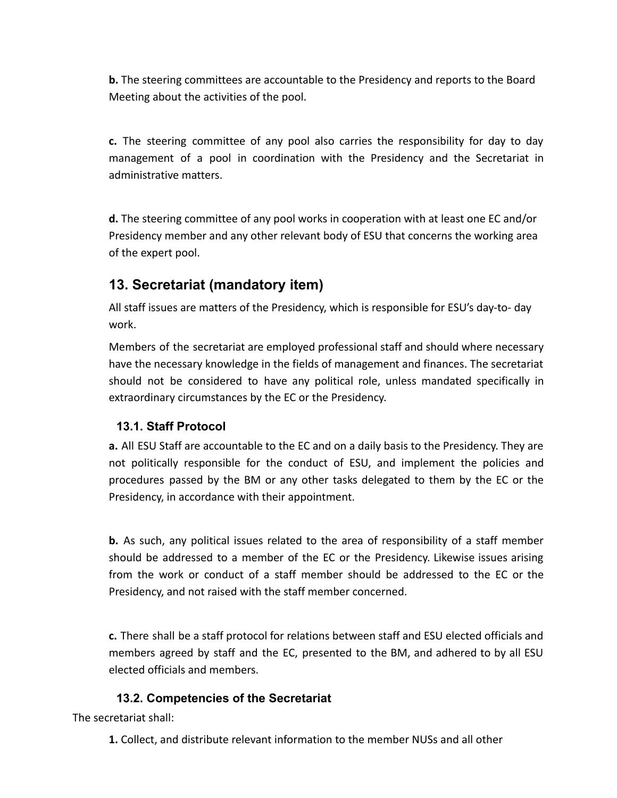**b.** The steering committees are accountable to the Presidency and reports to the Board Meeting about the activities of the pool.

**c.** The steering committee of any pool also carries the responsibility for day to day management of a pool in coordination with the Presidency and the Secretariat in administrative matters.

**d.** The steering committee of any pool works in cooperation with at least one EC and/or Presidency member and any other relevant body of ESU that concerns the working area of the expert pool.

# **13. Secretariat (mandatory item)**

All staff issues are matters of the Presidency, which is responsible for ESU's day-to- day work.

Members of the secretariat are employed professional staff and should where necessary have the necessary knowledge in the fields of management and finances. The secretariat should not be considered to have any political role, unless mandated specifically in extraordinary circumstances by the EC or the Presidency.

#### <span id="page-32-0"></span>**13.1. Staff Protocol**

**a.** All ESU Staff are accountable to the EC and on a daily basis to the Presidency. They are not politically responsible for the conduct of ESU, and implement the policies and procedures passed by the BM or any other tasks delegated to them by the EC or the Presidency, in accordance with their appointment.

**b.** As such, any political issues related to the area of responsibility of a staff member should be addressed to a member of the EC or the Presidency. Likewise issues arising from the work or conduct of a staff member should be addressed to the EC or the Presidency, and not raised with the staff member concerned.

<span id="page-32-1"></span>**c.** There shall be a staff protocol for relations between staff and ESU elected officials and members agreed by staff and the EC, presented to the BM, and adhered to by all ESU elected officials and members.

#### **13.2. Competencies of the Secretariat**

The secretariat shall:

**1.** Collect, and distribute relevant information to the member NUSs and all other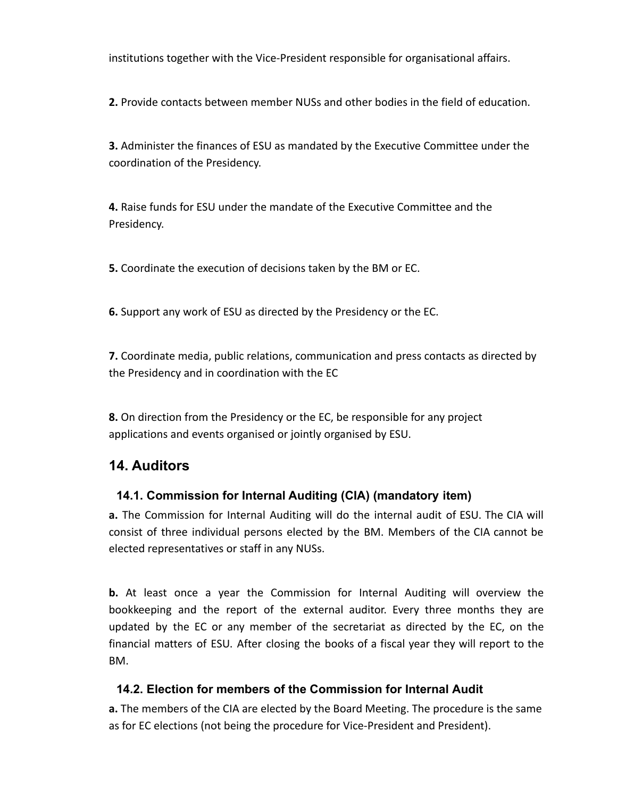institutions together with the Vice-President responsible for organisational affairs.

**2.** Provide contacts between member NUSs and other bodies in the field of education.

**3.** Administer the finances of ESU as mandated by the Executive Committee under the coordination of the Presidency.

**4.** Raise funds for ESU under the mandate of the Executive Committee and the Presidency.

**5.** Coordinate the execution of decisions taken by the BM or EC.

**6.** Support any work of ESU as directed by the Presidency or the EC.

**7.** Coordinate media, public relations, communication and press contacts as directed by the Presidency and in coordination with the EC

**8.** On direction from the Presidency or the EC, be responsible for any project applications and events organised or jointly organised by ESU.

# <span id="page-33-0"></span>**14. Auditors**

#### **14.1. Commission for Internal Auditing (CIA) (mandatory item)**

**a.** The Commission for Internal Auditing will do the internal audit of ESU. The CIA will consist of three individual persons elected by the BM. Members of the CIA cannot be elected representatives or staff in any NUSs.

**b.** At least once a year the Commission for Internal Auditing will overview the bookkeeping and the report of the external auditor. Every three months they are updated by the EC or any member of the secretariat as directed by the EC, on the financial matters of ESU. After closing the books of a fiscal year they will report to the BM.

#### <span id="page-33-1"></span>**14.2. Election for members of the Commission for Internal Audit**

**a.** The members of the CIA are elected by the Board Meeting. The procedure is the same as for EC elections (not being the procedure for Vice-President and President).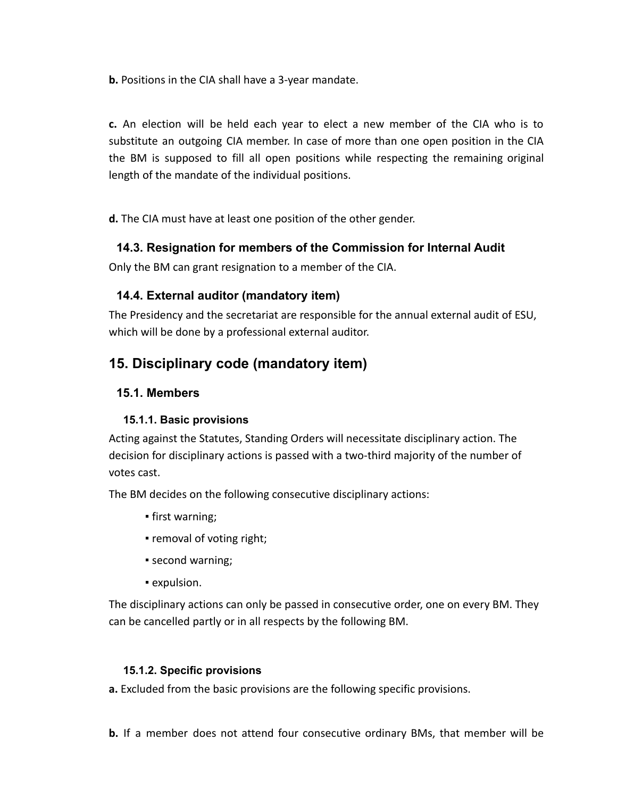**b.** Positions in the CIA shall have a 3-year mandate.

**c.** An election will be held each year to elect a new member of the CIA who is to substitute an outgoing CIA member. In case of more than one open position in the CIA the BM is supposed to fill all open positions while respecting the remaining original length of the mandate of the individual positions.

<span id="page-34-0"></span>**d.** The CIA must have at least one position of the other gender.

#### **14.3. Resignation for members of the Commission for Internal Audit**

<span id="page-34-1"></span>Only the BM can grant resignation to a member of the CIA.

#### **14.4. External auditor (mandatory item)**

The Presidency and the secretariat are responsible for the annual external audit of ESU, which will be done by a professional external auditor.

### <span id="page-34-2"></span>**15. Disciplinary code (mandatory item)**

#### **15.1. Members**

#### **15.1.1. Basic provisions**

<span id="page-34-3"></span>Acting against the Statutes, Standing Orders will necessitate disciplinary action. The decision for disciplinary actions is passed with a two-third majority of the number of votes cast.

The BM decides on the following consecutive disciplinary actions:

- first warning;
- removal of voting right;
- second warning;
- expulsion.

<span id="page-34-4"></span>The disciplinary actions can only be passed in consecutive order, one on every BM. They can be cancelled partly or in all respects by the following BM.

#### **15.1.2. Specific provisions**

**a.** Excluded from the basic provisions are the following specific provisions.

**b.** If a member does not attend four consecutive ordinary BMs, that member will be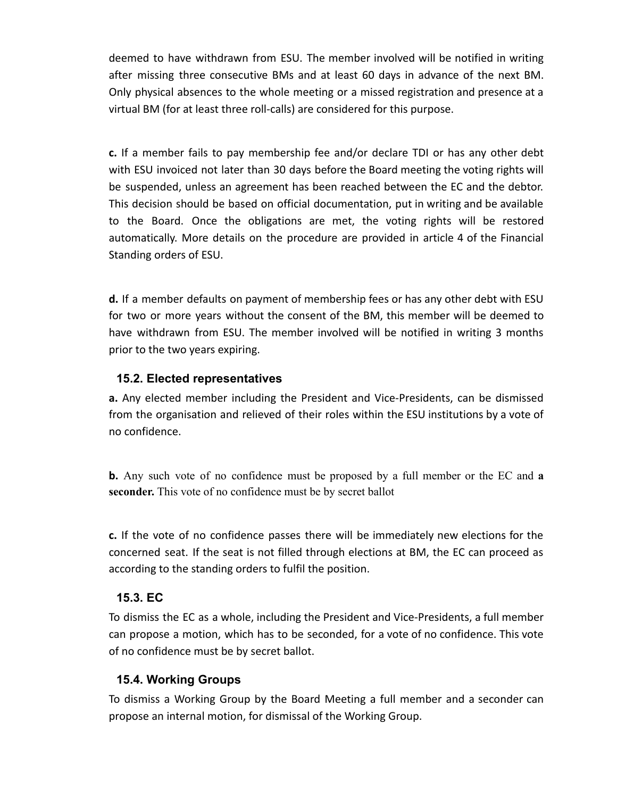deemed to have withdrawn from ESU. The member involved will be notified in writing after missing three consecutive BMs and at least 60 days in advance of the next BM. Only physical absences to the whole meeting or a missed registration and presence at a virtual BM (for at least three roll-calls) are considered for this purpose.

**c.** If a member fails to pay membership fee and/or declare TDI or has any other debt with ESU invoiced not later than 30 days before the Board meeting the voting rights will be suspended, unless an agreement has been reached between the EC and the debtor. This decision should be based on official documentation, put in writing and be available to the Board. Once the obligations are met, the voting rights will be restored automatically. More details on the procedure are provided in article 4 of the Financial Standing orders of ESU.

**d.** If a member defaults on payment of membership fees or has any other debt with ESU for two or more years without the consent of the BM, this member will be deemed to have withdrawn from ESU. The member involved will be notified in writing 3 months prior to the two years expiring.

#### <span id="page-35-0"></span>**15.2. Elected representatives**

**a.** Any elected member including the President and Vice-Presidents, can be dismissed from the organisation and relieved of their roles within the ESU institutions by a vote of no confidence.

**b.** Any such vote of no confidence must be proposed by a full member or the EC and **a seconder.** This vote of no confidence must be by secret ballot

<span id="page-35-1"></span>**c.** If the vote of no confidence passes there will be immediately new elections for the concerned seat. If the seat is not filled through elections at BM, the EC can proceed as according to the standing orders to fulfil the position.

#### **15.3. EC**

<span id="page-35-2"></span>To dismiss the EC as a whole, including the President and Vice-Presidents, a full member can propose a motion, which has to be seconded, for a vote of no confidence. This vote of no confidence must be by secret ballot.

#### **15.4. Working Groups**

To dismiss a Working Group by the Board Meeting a full member and a seconder can propose an internal motion, for dismissal of the Working Group.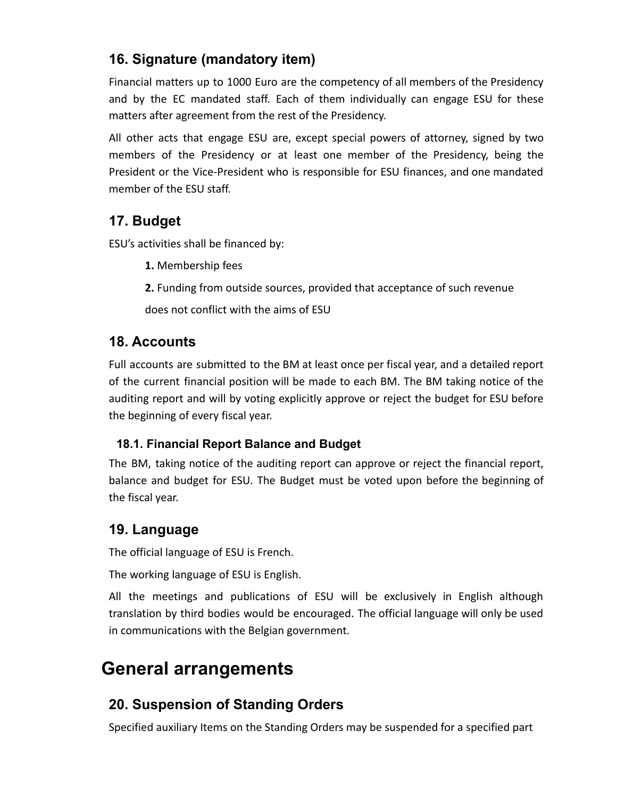# **16. Signature (mandatory item)**

Financial matters up to 1000 Euro are the competency of all members of the Presidency and by the EC mandated staff. Each of them individually can engage ESU for these matters after agreement from the rest of the Presidency.

All other acts that engage ESU are, except special powers of attorney, signed by two members of the Presidency or at least one member of the Presidency, being the President or the Vice-President who is responsible for ESU finances, and one mandated member of the ESU staff.

# **17. Budget**

ESU's activities shall be financed by:

- **1.** Membership fees
- **2.** Funding from outside sources, provided that acceptance of such revenue

does not conflict with the aims of ESU

# **18. Accounts**

Full accounts are submitted to the BM at least once per fiscal year, and a detailed report of the current financial position will be made to each BM. The BM taking notice of the auditing report and will by voting explicitly approve or reject the budget for ESU before the beginning of every fiscal year.

#### <span id="page-36-0"></span>**18.1. Financial Report Balance and Budget**

The BM, taking notice of the auditing report can approve or reject the financial report, balance and budget for ESU. The Budget must be voted upon before the beginning of the fiscal year.

# **19. Language**

The official language of ESU is French.

The working language of ESU is English.

All the meetings and publications of ESU will be exclusively in English although translation by third bodies would be encouraged. The official language will only be used in communications with the Belgian government.

# **General arrangements**

# **20. Suspension of Standing Orders**

Specified auxiliary Items on the Standing Orders may be suspended for a specified part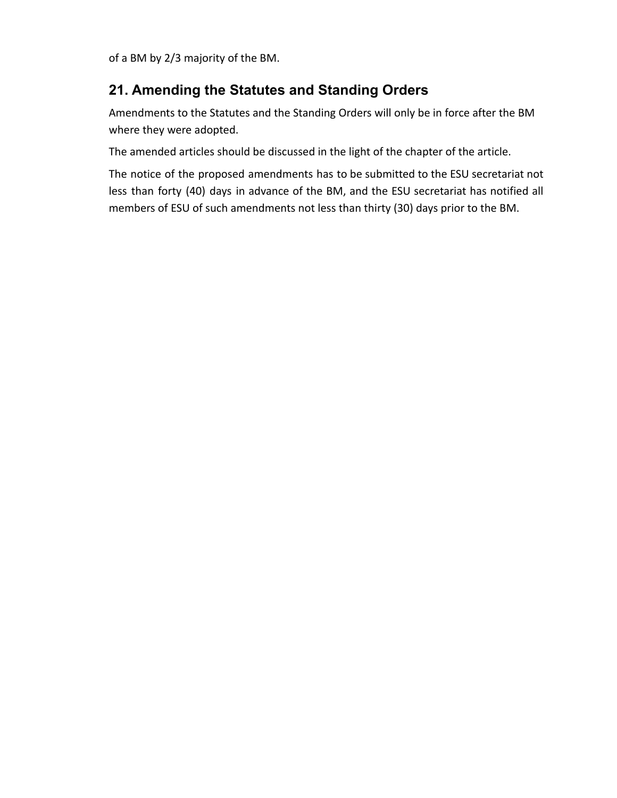of a BM by 2/3 majority of the BM.

# **21. Amending the Statutes and Standing Orders**

Amendments to the Statutes and the Standing Orders will only be in force after the BM where they were adopted.

The amended articles should be discussed in the light of the chapter of the article.

The notice of the proposed amendments has to be submitted to the ESU secretariat not less than forty (40) days in advance of the BM, and the ESU secretariat has notified all members of ESU of such amendments not less than thirty (30) days prior to the BM.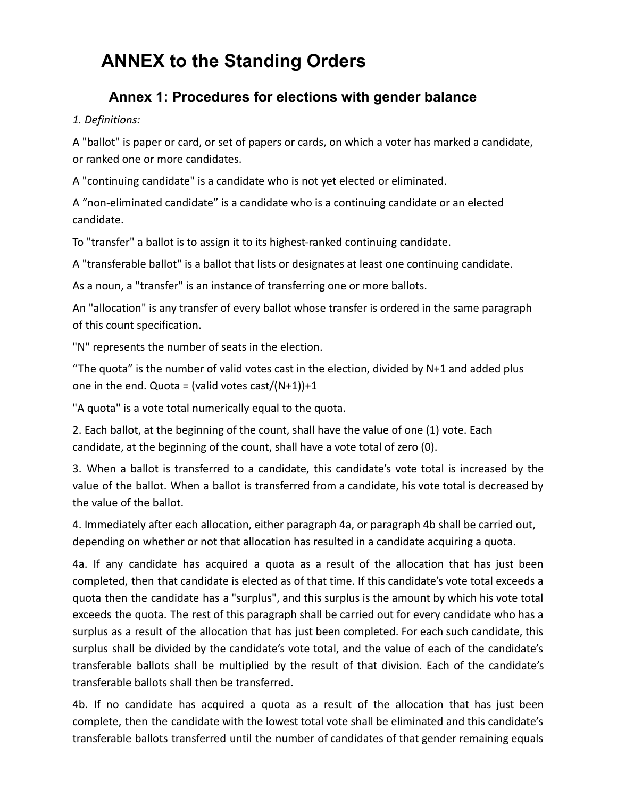# **ANNEX to the Standing Orders**

# **Annex 1: Procedures for elections with gender balance**

#### *1. Definitions:*

A "ballot" is paper or card, or set of papers or cards, on which a voter has marked a candidate, or ranked one or more candidates.

A "continuing candidate" is a candidate who is not yet elected or eliminated.

A "non-eliminated candidate" is a candidate who is a continuing candidate or an elected candidate.

To "transfer" a ballot is to assign it to its highest-ranked continuing candidate.

A "transferable ballot" is a ballot that lists or designates at least one continuing candidate.

As a noun, a "transfer" is an instance of transferring one or more ballots.

An "allocation" is any transfer of every ballot whose transfer is ordered in the same paragraph of this count specification.

"N" represents the number of seats in the election.

"The quota" is the number of valid votes cast in the election, divided by N+1 and added plus one in the end. Quota = (valid votes cast/ $(N+1)$ )+1

"A quota" is a vote total numerically equal to the quota.

2. Each ballot, at the beginning of the count, shall have the value of one (1) vote. Each candidate, at the beginning of the count, shall have a vote total of zero (0).

3. When a ballot is transferred to a candidate, this candidate's vote total is increased by the value of the ballot. When a ballot is transferred from a candidate, his vote total is decreased by the value of the ballot.

4. Immediately after each allocation, either paragraph 4a, or paragraph 4b shall be carried out, depending on whether or not that allocation has resulted in a candidate acquiring a quota.

4a. If any candidate has acquired a quota as a result of the allocation that has just been completed, then that candidate is elected as of that time. If this candidate's vote total exceeds a quota then the candidate has a "surplus", and this surplus is the amount by which his vote total exceeds the quota. The rest of this paragraph shall be carried out for every candidate who has a surplus as a result of the allocation that has just been completed. For each such candidate, this surplus shall be divided by the candidate's vote total, and the value of each of the candidate's transferable ballots shall be multiplied by the result of that division. Each of the candidate's transferable ballots shall then be transferred.

4b. If no candidate has acquired a quota as a result of the allocation that has just been complete, then the candidate with the lowest total vote shall be eliminated and this candidate's transferable ballots transferred until the number of candidates of that gender remaining equals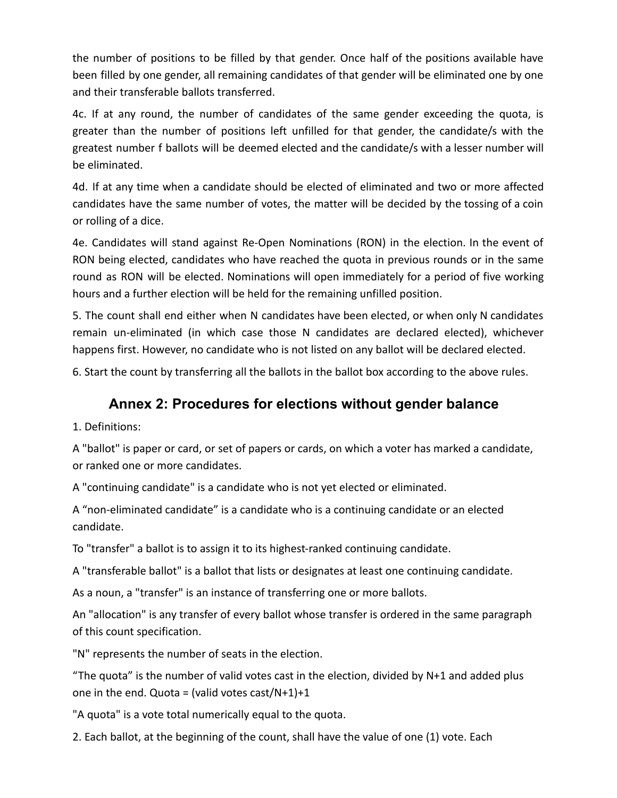the number of positions to be filled by that gender. Once half of the positions available have been filled by one gender, all remaining candidates of that gender will be eliminated one by one and their transferable ballots transferred.

4c. If at any round, the number of candidates of the same gender exceeding the quota, is greater than the number of positions left unfilled for that gender, the candidate/s with the greatest number f ballots will be deemed elected and the candidate/s with a lesser number will be eliminated.

4d. If at any time when a candidate should be elected of eliminated and two or more affected candidates have the same number of votes, the matter will be decided by the tossing of a coin or rolling of a dice.

4e. Candidates will stand against Re-Open Nominations (RON) in the election. In the event of RON being elected, candidates who have reached the quota in previous rounds or in the same round as RON will be elected. Nominations will open immediately for a period of five working hours and a further election will be held for the remaining unfilled position.

5. The count shall end either when N candidates have been elected, or when only N candidates remain un-eliminated (in which case those N candidates are declared elected), whichever happens first. However, no candidate who is not listed on any ballot will be declared elected.

6. Start the count by transferring all the ballots in the ballot box according to the above rules.

# **Annex 2: Procedures for elections without gender balance**

1. Definitions:

A "ballot" is paper or card, or set of papers or cards, on which a voter has marked a candidate, or ranked one or more candidates.

A "continuing candidate" is a candidate who is not yet elected or eliminated.

A "non-eliminated candidate" is a candidate who is a continuing candidate or an elected candidate.

To "transfer" a ballot is to assign it to its highest-ranked continuing candidate.

A "transferable ballot" is a ballot that lists or designates at least one continuing candidate.

As a noun, a "transfer" is an instance of transferring one or more ballots.

An "allocation" is any transfer of every ballot whose transfer is ordered in the same paragraph of this count specification.

"N" represents the number of seats in the election.

"The quota" is the number of valid votes cast in the election, divided by  $N+1$  and added plus one in the end. Quota = (valid votes cast/N+1)+1

"A quota" is a vote total numerically equal to the quota.

2. Each ballot, at the beginning of the count, shall have the value of one (1) vote. Each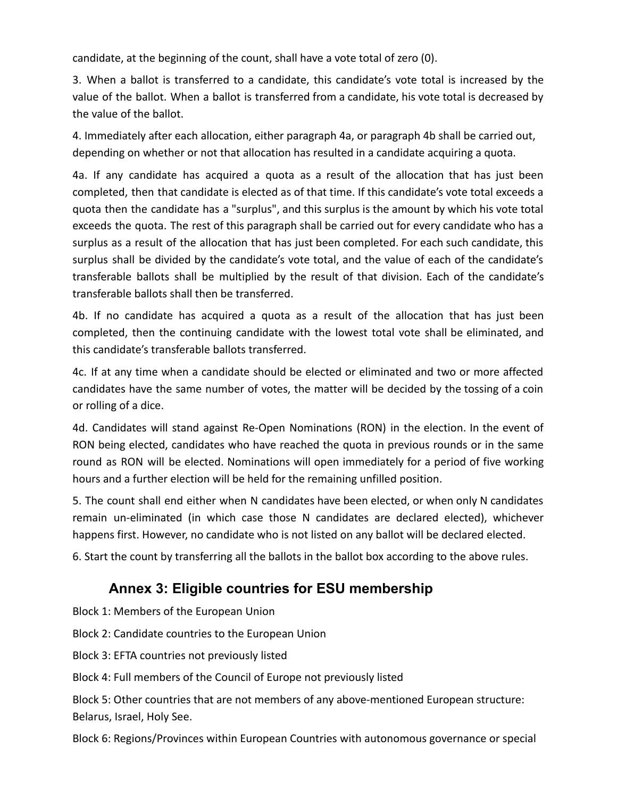candidate, at the beginning of the count, shall have a vote total of zero (0).

3. When a ballot is transferred to a candidate, this candidate's vote total is increased by the value of the ballot. When a ballot is transferred from a candidate, his vote total is decreased by the value of the ballot.

4. Immediately after each allocation, either paragraph 4a, or paragraph 4b shall be carried out, depending on whether or not that allocation has resulted in a candidate acquiring a quota.

4a. If any candidate has acquired a quota as a result of the allocation that has just been completed, then that candidate is elected as of that time. If this candidate's vote total exceeds a quota then the candidate has a "surplus", and this surplus is the amount by which his vote total exceeds the quota. The rest of this paragraph shall be carried out for every candidate who has a surplus as a result of the allocation that has just been completed. For each such candidate, this surplus shall be divided by the candidate's vote total, and the value of each of the candidate's transferable ballots shall be multiplied by the result of that division. Each of the candidate's transferable ballots shall then be transferred.

4b. If no candidate has acquired a quota as a result of the allocation that has just been completed, then the continuing candidate with the lowest total vote shall be eliminated, and this candidate's transferable ballots transferred.

4c. If at any time when a candidate should be elected or eliminated and two or more affected candidates have the same number of votes, the matter will be decided by the tossing of a coin or rolling of a dice.

4d. Candidates will stand against Re-Open Nominations (RON) in the election. In the event of RON being elected, candidates who have reached the quota in previous rounds or in the same round as RON will be elected. Nominations will open immediately for a period of five working hours and a further election will be held for the remaining unfilled position.

5. The count shall end either when N candidates have been elected, or when only N candidates remain un-eliminated (in which case those N candidates are declared elected), whichever happens first. However, no candidate who is not listed on any ballot will be declared elected.

6. Start the count by transferring all the ballots in the ballot box according to the above rules.

# **Annex 3: Eligible countries for ESU membership**

Block 1: Members of the European Union

Block 2: Candidate countries to the European Union

Block 3: EFTA countries not previously listed

Block 4: Full members of the Council of Europe not previously listed

Block 5: Other countries that are not members of any above-mentioned European structure: Belarus, Israel, Holy See.

Block 6: Regions/Provinces within European Countries with autonomous governance or special